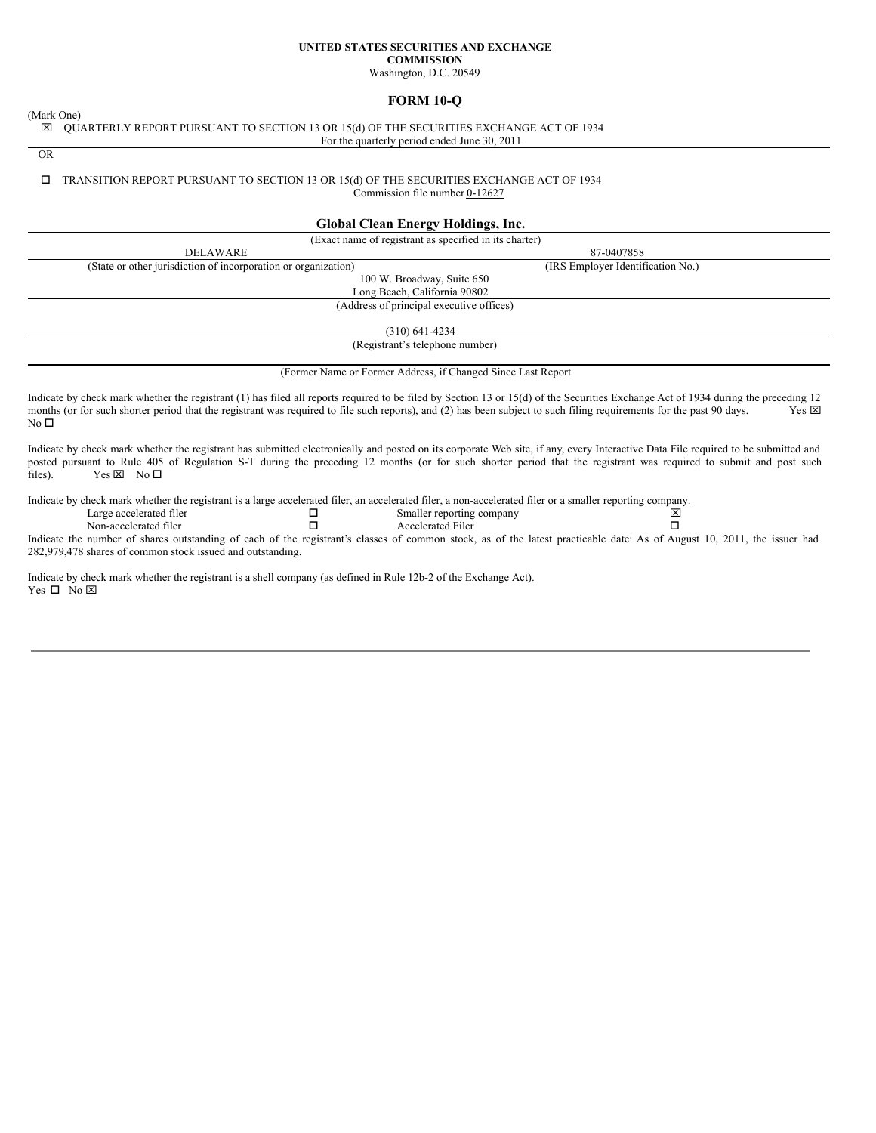# **UNITED STATES SECURITIES AND EXCHANGE COMMISSION**

Washington, D.C. 20549

# **FORM 10-Q**

(Mark One)

## x QUARTERLY REPORT PURSUANT TO SECTION 13 OR 15(d) OF THE SECURITIES EXCHANGE ACT OF 1934 For the quarterly period ended June 30, 2011

OR

# $\Box$  TRANSITION REPORT PURSUANT TO SECTION 13 OR 15(d) OF THE SECURITIES EXCHANGE ACT OF 1934

Commission file number 0-12627

# **Global Clean Energy Holdings, Inc.**

| (Exact name of registrant as specified in its charter)                                                                                                                                                                                                                                                                                                                                                                                                                                                                                                                                                                                                                                                                                                           |                                     |
|------------------------------------------------------------------------------------------------------------------------------------------------------------------------------------------------------------------------------------------------------------------------------------------------------------------------------------------------------------------------------------------------------------------------------------------------------------------------------------------------------------------------------------------------------------------------------------------------------------------------------------------------------------------------------------------------------------------------------------------------------------------|-------------------------------------|
| <b>DELAWARE</b>                                                                                                                                                                                                                                                                                                                                                                                                                                                                                                                                                                                                                                                                                                                                                  | 87-0407858                          |
| (State or other jurisdiction of incorporation or organization)                                                                                                                                                                                                                                                                                                                                                                                                                                                                                                                                                                                                                                                                                                   | (IRS Employer Identification No.)   |
| 100 W. Broadway, Suite 650                                                                                                                                                                                                                                                                                                                                                                                                                                                                                                                                                                                                                                                                                                                                       |                                     |
| Long Beach, California 90802                                                                                                                                                                                                                                                                                                                                                                                                                                                                                                                                                                                                                                                                                                                                     |                                     |
| (Address of principal executive offices)                                                                                                                                                                                                                                                                                                                                                                                                                                                                                                                                                                                                                                                                                                                         |                                     |
|                                                                                                                                                                                                                                                                                                                                                                                                                                                                                                                                                                                                                                                                                                                                                                  |                                     |
| $(310)$ 641-4234                                                                                                                                                                                                                                                                                                                                                                                                                                                                                                                                                                                                                                                                                                                                                 |                                     |
| (Registrant's telephone number)                                                                                                                                                                                                                                                                                                                                                                                                                                                                                                                                                                                                                                                                                                                                  |                                     |
|                                                                                                                                                                                                                                                                                                                                                                                                                                                                                                                                                                                                                                                                                                                                                                  |                                     |
| (Former Name or Former Address, if Changed Since Last Report                                                                                                                                                                                                                                                                                                                                                                                                                                                                                                                                                                                                                                                                                                     |                                     |
| Indicate by check mark whether the registrant (1) has filed all reports required to be filed by Section 13 or 15(d) of the Securities Exchange Act of 1934 during the preceding 12<br>months (or for such shorter period that the registrant was required to file such reports), and (2) has been subject to such filing requirements for the past 90 days.<br>No $\square$<br>Indicate by check mark whether the registrant has submitted electronically and posted on its corporate Web site, if any, every Interactive Data File required to be submitted and<br>posted pursuant to Rule 405 of Regulation S-T during the preceding 12 months (or for such shorter period that the registrant was required to submit and post such<br>$Yes \boxtimes No \Box$ | $Yes \boxtimes$                     |
| files).<br>Indicate by check mark whether the registrant is a large accelerated filer, an accelerated filer, a non-accelerated filer or a smaller reporting company.<br>Large accelerated filer<br>□<br>Non-accelerated filer<br>п<br><b>Accelerated Filer</b><br>Indicate the number of shares outstanding of each of the registrant's classes of common stock, as of the latest practicable date: As of August 10, 2011, the issuer had<br>282,979,478 shares of common stock issued and outstanding.                                                                                                                                                                                                                                                          | Smaller reporting company<br>×<br>п |
| Indicate by check mark whether the registrant is a shell company (as defined in Rule 12b-2 of the Exchange Act).<br>Yes $\Box$ No $\boxtimes$                                                                                                                                                                                                                                                                                                                                                                                                                                                                                                                                                                                                                    |                                     |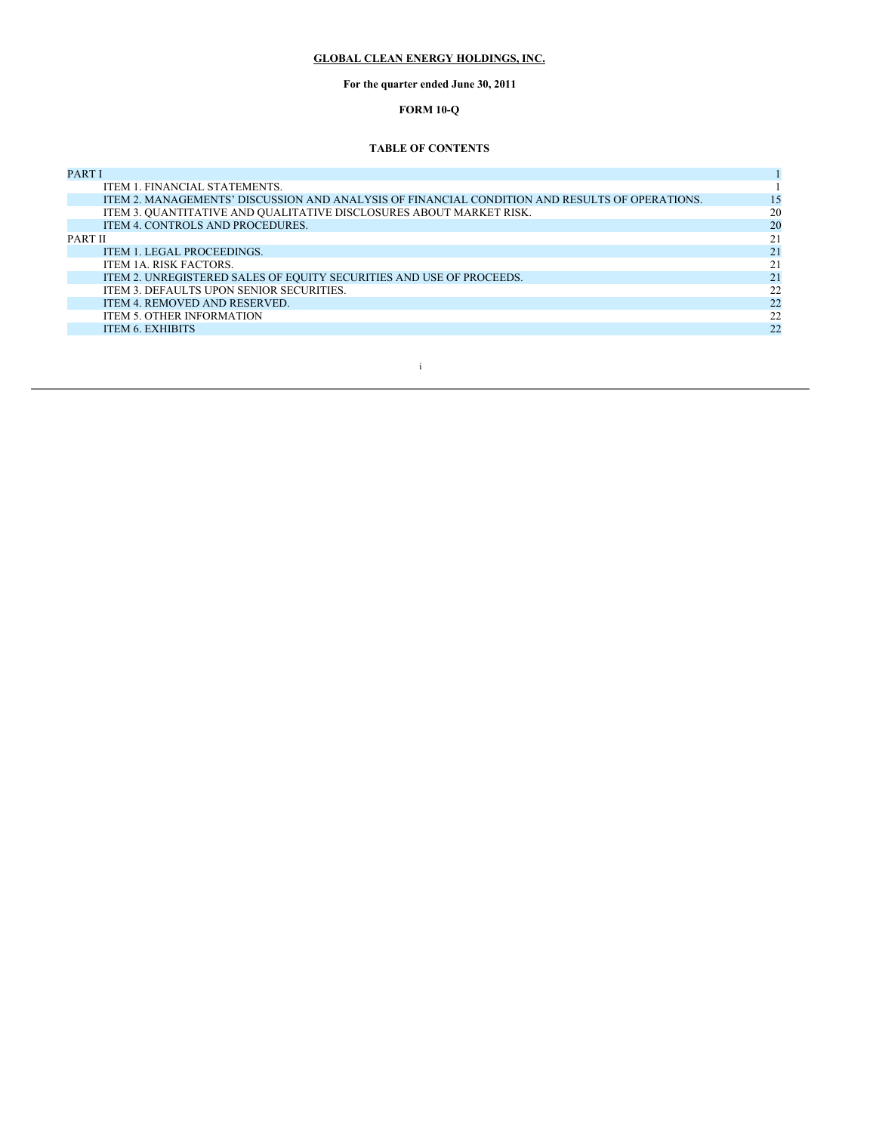# **GLOBAL CLEAN ENERGY HOLDINGS, INC.**

# **For the quarter ended June 30, 2011**

# **FORM 10-Q**

## **TABLE OF CONTENTS**

| <b>PARTI</b>   |                                                                                                |    |
|----------------|------------------------------------------------------------------------------------------------|----|
|                | ITEM 1. FINANCIAL STATEMENTS.                                                                  |    |
|                | ITEM 2. MANAGEMENTS' DISCUSSION AND ANALYSIS OF FINANCIAL CONDITION AND RESULTS OF OPERATIONS. | 15 |
|                | ITEM 3. QUANTITATIVE AND QUALITATIVE DISCLOSURES ABOUT MARKET RISK.                            | 20 |
|                | ITEM 4. CONTROLS AND PROCEDURES.                                                               | 20 |
| <b>PART II</b> |                                                                                                | 21 |
|                | ITEM 1. LEGAL PROCEEDINGS.                                                                     | 21 |
|                | <b>ITEM 1A. RISK FACTORS.</b>                                                                  | 21 |
|                | ITEM 2. UNREGISTERED SALES OF EQUITY SECURITIES AND USE OF PROCEEDS.                           | 21 |
|                | ITEM 3. DEFAULTS UPON SENIOR SECURITIES.                                                       | 22 |
|                | ITEM 4. REMOVED AND RESERVED.                                                                  | 22 |
|                | <b>ITEM 5. OTHER INFORMATION</b>                                                               | 22 |
|                | <b>ITEM 6. EXHIBITS</b>                                                                        | 22 |
|                |                                                                                                |    |

i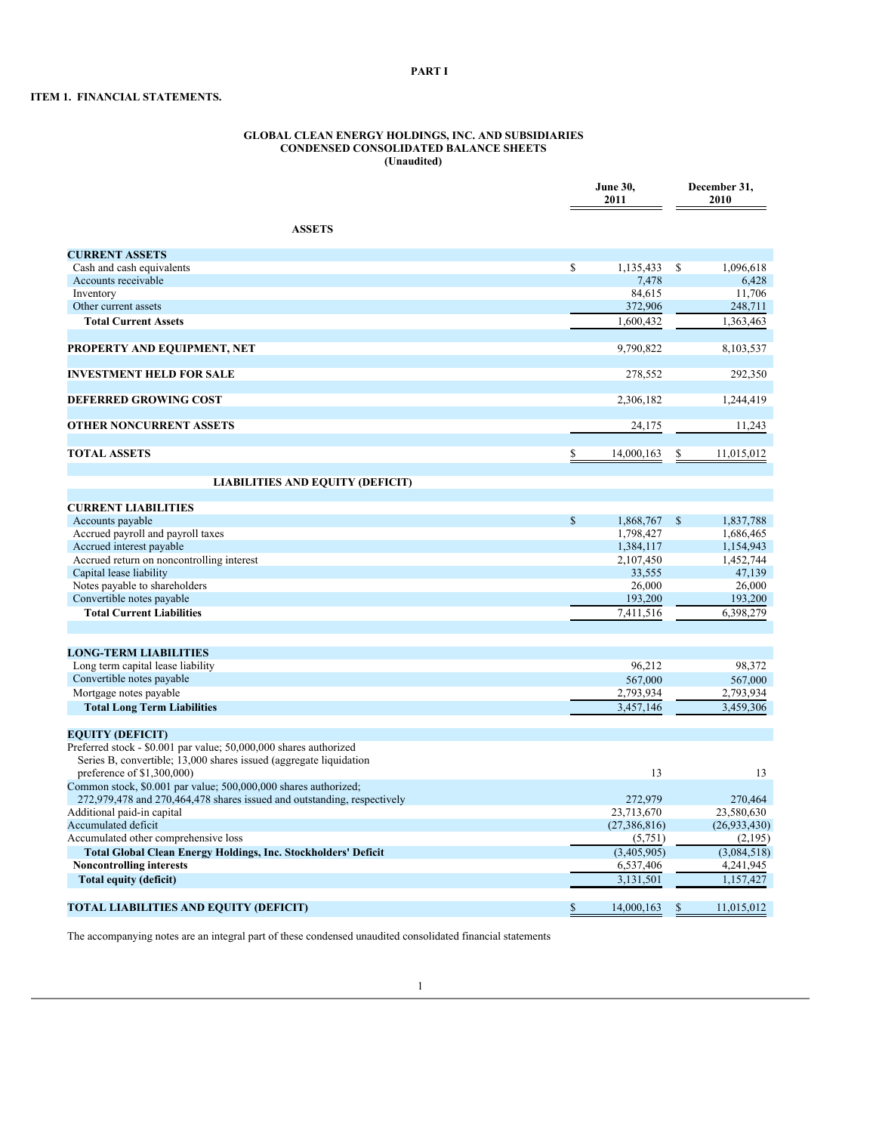# **PART I**

# **ITEM 1. FINANCIAL STATEMENTS.**

#### **GLOBAL CLEAN ENERGY HOLDINGS, INC. AND SUBSIDIARIES CONDENSED CONSOLIDATED BALANCE SHEETS (Unaudited)**

|                                                                         | <b>June 30,</b><br>2011 |                          | December 31,<br>2010 |                          |
|-------------------------------------------------------------------------|-------------------------|--------------------------|----------------------|--------------------------|
| <b>ASSETS</b>                                                           |                         |                          |                      |                          |
| <b>CURRENT ASSETS</b>                                                   |                         |                          |                      |                          |
| Cash and cash equivalents                                               | $\mathbb{S}$            | 1,135,433                | S                    | 1,096,618                |
| Accounts receivable                                                     |                         | 7,478                    |                      | 6,428                    |
| Inventory                                                               |                         | 84,615                   |                      | 11,706                   |
| Other current assets                                                    |                         | 372,906                  |                      | 248,711                  |
| <b>Total Current Assets</b>                                             |                         | 1,600,432                |                      | 1,363,463                |
| PROPERTY AND EQUIPMENT, NET                                             |                         | 9,790,822                |                      | 8,103,537                |
| <b>INVESTMENT HELD FOR SALE</b>                                         |                         | 278,552                  |                      | 292,350                  |
| <b>DEFERRED GROWING COST</b>                                            |                         | 2,306,182                |                      | 1,244,419                |
| <b>OTHER NONCURRENT ASSETS</b>                                          |                         | 24,175                   |                      | 11,243                   |
| <b>TOTAL ASSETS</b>                                                     | \$                      | 14,000,163               | S                    | 11,015,012               |
| <b>LIABILITIES AND EQUITY (DEFICIT)</b>                                 |                         |                          |                      |                          |
| <b>CURRENT LIABILITIES</b>                                              |                         |                          |                      |                          |
| Accounts payable                                                        | $\mathbb{S}$            | 1,868,767                | $\mathbb{S}$         | 1,837,788                |
| Accrued payroll and payroll taxes                                       |                         | 1,798,427                |                      | 1,686,465                |
| Accrued interest payable                                                |                         | 1,384,117                |                      | 1,154,943                |
| Accrued return on noncontrolling interest                               |                         | 2,107,450                |                      | 1,452,744                |
| Capital lease liability                                                 |                         | 33,555                   |                      | 47,139                   |
| Notes payable to shareholders                                           |                         | 26,000                   |                      | 26,000                   |
| Convertible notes payable                                               |                         | 193,200                  |                      | 193,200                  |
| <b>Total Current Liabilities</b>                                        |                         | 7,411,516                |                      | 6,398,279                |
|                                                                         |                         |                          |                      |                          |
| <b>LONG-TERM LIABILITIES</b>                                            |                         |                          |                      |                          |
| Long term capital lease liability                                       |                         | 96,212                   |                      | 98,372                   |
| Convertible notes payable                                               |                         | 567,000                  |                      | 567,000                  |
| Mortgage notes payable                                                  |                         | 2,793,934                |                      | 2,793,934                |
| <b>Total Long Term Liabilities</b>                                      |                         | 3,457,146                |                      | 3,459,306                |
| <b>EQUITY (DEFICIT)</b>                                                 |                         |                          |                      |                          |
| Preferred stock - \$0.001 par value; 50,000,000 shares authorized       |                         |                          |                      |                          |
| Series B, convertible; 13,000 shares issued (aggregate liquidation      |                         |                          |                      |                          |
| preference of \$1,300,000)                                              |                         | 13                       |                      | 13                       |
| Common stock, \$0.001 par value; 500,000,000 shares authorized;         |                         |                          |                      |                          |
| 272,979,478 and 270,464,478 shares issued and outstanding, respectively |                         | 272,979                  |                      | 270,464                  |
| Additional paid-in capital                                              |                         | 23,713,670               |                      | 23,580,630               |
| Accumulated deficit                                                     |                         | (27, 386, 816)           |                      | (26,933,430)             |
| Accumulated other comprehensive loss                                    |                         | (5,751)                  |                      | (2,195)                  |
| <b>Total Global Clean Energy Holdings, Inc. Stockholders' Deficit</b>   |                         | (3,405,905)<br>6,537,406 |                      | (3,084,518)<br>4,241,945 |
| <b>Noncontrolling interests</b>                                         |                         | 3,131,501                |                      |                          |
| Total equity (deficit)                                                  |                         |                          |                      | 1,157,427                |
| <b>TOTAL LIABILITIES AND EQUITY (DEFICIT)</b>                           | \$                      | 14,000,163               | \$                   | 11,015,012               |

The accompanying notes are an integral part of these condensed unaudited consolidated financial statements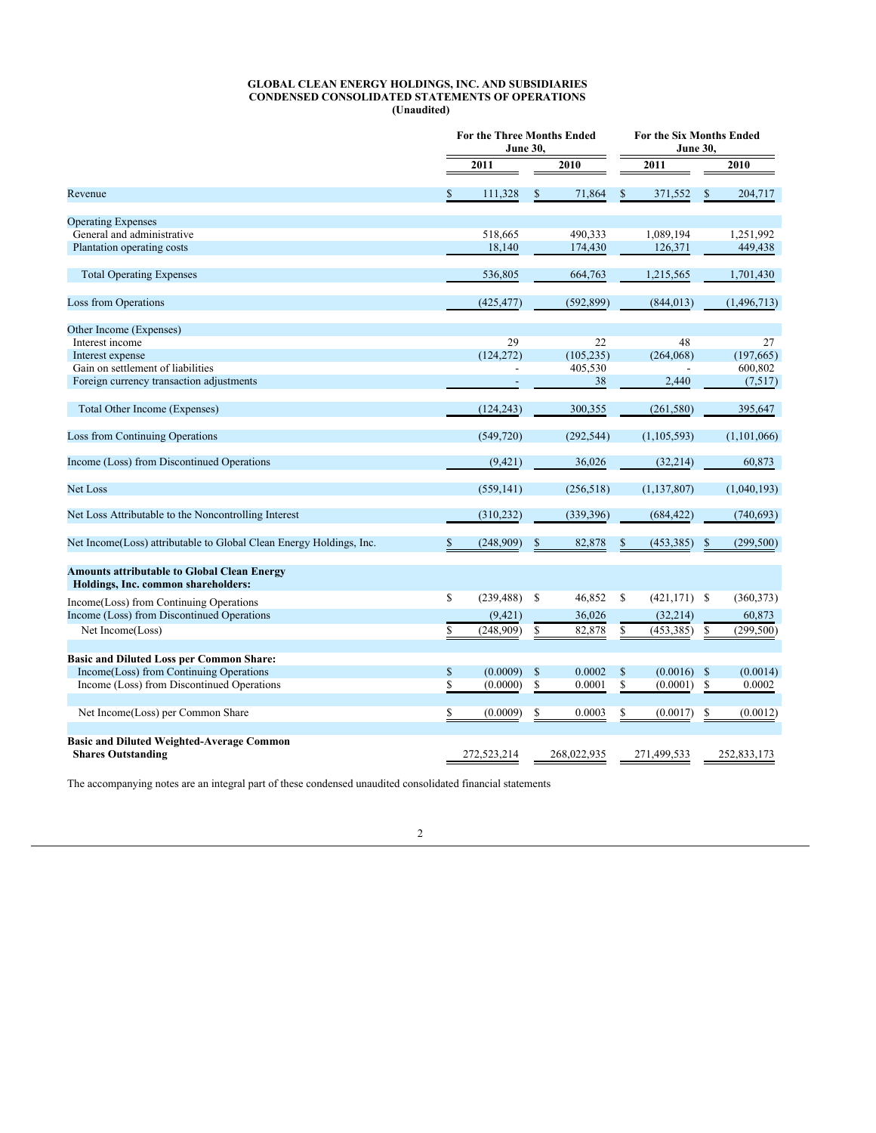#### **GLOBAL CLEAN ENERGY HOLDINGS, INC. AND SUBSIDIARIES CONDENSED CONSOLIDATED STATEMENTS OF OPERATIONS (Unaudited)**

|                                                                                           | <b>For the Three Months Ended</b><br><b>June 30,</b> |             | <b>For the Six Months Ended</b><br><b>June 30,</b> |             |      |                 |               |             |
|-------------------------------------------------------------------------------------------|------------------------------------------------------|-------------|----------------------------------------------------|-------------|------|-----------------|---------------|-------------|
|                                                                                           | 2011                                                 |             | 2010                                               |             | 2011 |                 | 2010          |             |
| Revenue                                                                                   | \$                                                   | 111,328     | \$                                                 | 71,864      | \$   | 371,552         | \$            | 204,717     |
| <b>Operating Expenses</b>                                                                 |                                                      |             |                                                    |             |      |                 |               |             |
| General and administrative                                                                |                                                      | 518,665     |                                                    | 490,333     |      | 1,089,194       |               | 1,251,992   |
| Plantation operating costs                                                                |                                                      | 18,140      |                                                    | 174,430     |      | 126,371         |               | 449,438     |
| <b>Total Operating Expenses</b>                                                           |                                                      | 536,805     |                                                    | 664,763     |      | 1,215,565       |               | 1,701,430   |
| <b>Loss from Operations</b>                                                               |                                                      | (425, 477)  |                                                    | (592, 899)  |      | (844, 013)      |               | (1,496,713) |
| Other Income (Expenses)                                                                   |                                                      |             |                                                    |             |      |                 |               |             |
| Interest income                                                                           |                                                      | 29          |                                                    | 22          |      | 48              |               | 27          |
| Interest expense                                                                          |                                                      | (124, 272)  |                                                    | (105, 235)  |      | (264, 068)      |               | (197, 665)  |
| Gain on settlement of liabilities                                                         |                                                      |             |                                                    | 405,530     |      |                 |               | 600,802     |
| Foreign currency transaction adjustments                                                  |                                                      |             |                                                    | 38          |      | 2,440           |               | (7,517)     |
| Total Other Income (Expenses)                                                             |                                                      | (124, 243)  |                                                    | 300,355     |      | (261, 580)      |               | 395,647     |
| <b>Loss from Continuing Operations</b>                                                    |                                                      | (549, 720)  |                                                    | (292, 544)  |      | (1, 105, 593)   |               | (1,101,066) |
| Income (Loss) from Discontinued Operations                                                |                                                      | (9,421)     |                                                    | 36,026      |      | (32, 214)       |               | 60,873      |
| Net Loss                                                                                  |                                                      | (559, 141)  |                                                    | (256, 518)  |      | (1, 137, 807)   |               | (1,040,193) |
| Net Loss Attributable to the Noncontrolling Interest                                      |                                                      | (310, 232)  |                                                    | (339, 396)  |      | (684, 422)      |               | (740, 693)  |
| Net Income(Loss) attributable to Global Clean Energy Holdings, Inc.                       | \$                                                   | (248,909)   | \$                                                 | 82,878      | \$   | (453, 385)      | \$            | (299, 500)  |
| <b>Amounts attributable to Global Clean Energy</b><br>Holdings, Inc. common shareholders: |                                                      |             |                                                    |             |      |                 |               |             |
| Income(Loss) from Continuing Operations                                                   | \$                                                   | (239, 488)  | <sup>\$</sup>                                      | 46,852      | \$   | $(421, 171)$ \$ |               | (360, 373)  |
| Income (Loss) from Discontinued Operations                                                |                                                      | (9, 421)    |                                                    | 36,026      |      | (32, 214)       |               | 60,873      |
| Net Income(Loss)                                                                          | \$                                                   | (248,909)   | \$                                                 | 82,878      | \$   | (453, 385)      | \$            | (299, 500)  |
| <b>Basic and Diluted Loss per Common Share:</b>                                           |                                                      |             |                                                    |             |      |                 |               |             |
| Income(Loss) from Continuing Operations                                                   | \$                                                   | (0.0009)    | \$                                                 | 0.0002      | $\$$ | (0.0016)        | $\mathcal{S}$ | (0.0014)    |
| Income (Loss) from Discontinued Operations                                                | \$                                                   | (0.0000)    | \$                                                 | 0.0001      | \$   | (0.0001)        | \$            | 0.0002      |
|                                                                                           |                                                      |             |                                                    |             |      |                 |               |             |
| Net Income(Loss) per Common Share                                                         | \$                                                   | (0.0009)    | \$                                                 | 0.0003      | \$   | (0.0017)        | \$            | (0.0012)    |
| <b>Basic and Diluted Weighted-Average Common</b><br><b>Shares Outstanding</b>             |                                                      | 272,523,214 |                                                    | 268,022,935 |      | 271,499,533     |               | 252,833,173 |
|                                                                                           |                                                      |             |                                                    |             |      |                 |               |             |

The accompanying notes are an integral part of these condensed unaudited consolidated financial statements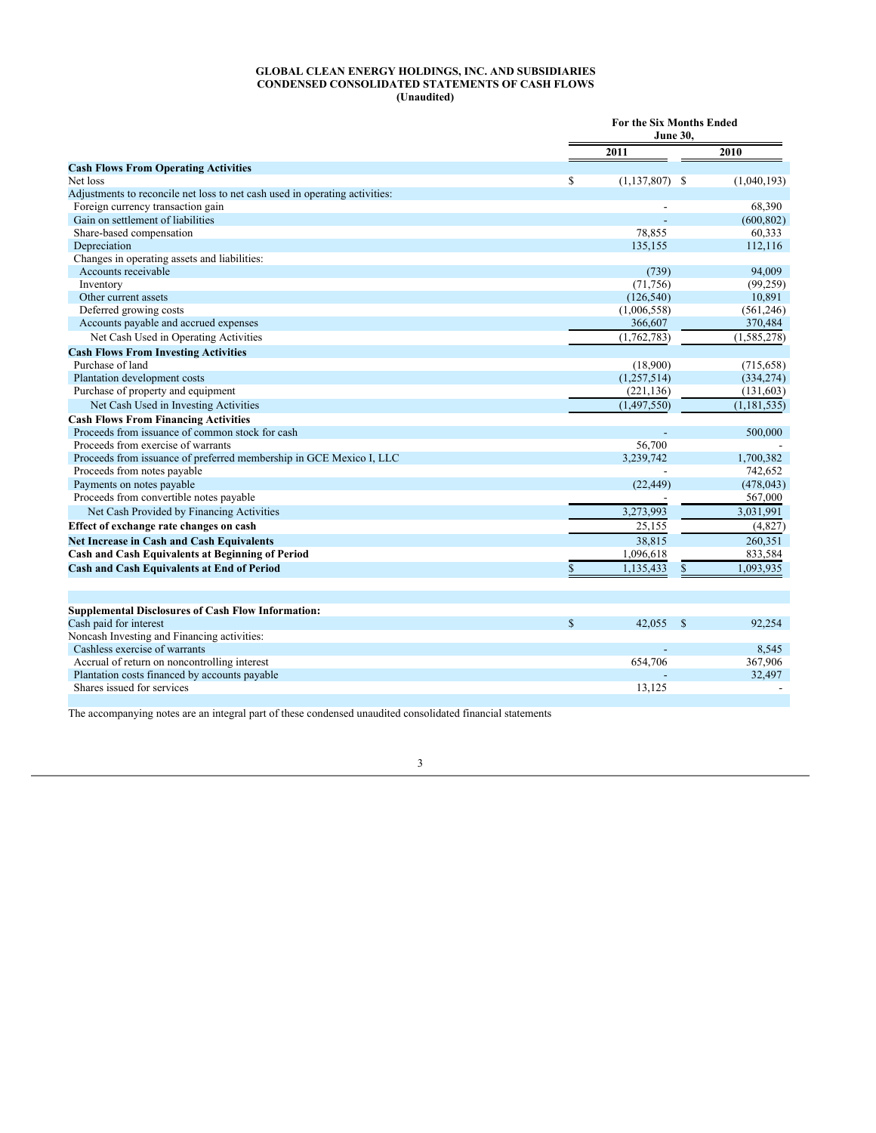#### **GLOBAL CLEAN ENERGY HOLDINGS, INC. AND SUBSIDIARIES CONDENSED CONSOLIDATED STATEMENTS OF CASH FLOWS (Unaudited)**

|                                                                             |              | For the Six Months Ended<br><b>June 30.</b> |    |               |
|-----------------------------------------------------------------------------|--------------|---------------------------------------------|----|---------------|
|                                                                             |              | 2011                                        |    | 2010          |
| <b>Cash Flows From Operating Activities</b>                                 |              |                                             |    |               |
| Net loss                                                                    | \$           | $(1, 137, 807)$ \$                          |    | (1,040,193)   |
| Adjustments to reconcile net loss to net cash used in operating activities: |              |                                             |    |               |
| Foreign currency transaction gain                                           |              |                                             |    | 68.390        |
| Gain on settlement of liabilities                                           |              |                                             |    | (600, 802)    |
| Share-based compensation                                                    |              | 78,855                                      |    | 60,333        |
| Depreciation                                                                |              | 135,155                                     |    | 112,116       |
| Changes in operating assets and liabilities:                                |              |                                             |    |               |
| Accounts receivable                                                         |              | (739)                                       |    | 94,009        |
| Inventory                                                                   |              | (71, 756)                                   |    | (99,259)      |
| Other current assets                                                        |              | (126, 540)                                  |    | 10,891        |
| Deferred growing costs                                                      |              | (1,006,558)                                 |    | (561, 246)    |
| Accounts payable and accrued expenses                                       |              | 366,607                                     |    | 370,484       |
| Net Cash Used in Operating Activities                                       |              | (1,762,783)                                 |    | (1, 585, 278) |
| <b>Cash Flows From Investing Activities</b>                                 |              |                                             |    |               |
| Purchase of land                                                            |              | (18,900)                                    |    | (715, 658)    |
| Plantation development costs                                                |              | (1,257,514)                                 |    | (334, 274)    |
| Purchase of property and equipment                                          |              | (221, 136)                                  |    | (131, 603)    |
| Net Cash Used in Investing Activities                                       |              | (1,497,550)                                 |    | (1, 181, 535) |
| <b>Cash Flows From Financing Activities</b>                                 |              |                                             |    |               |
| Proceeds from issuance of common stock for cash                             |              |                                             |    | 500,000       |
| Proceeds from exercise of warrants                                          |              | 56,700                                      |    |               |
| Proceeds from issuance of preferred membership in GCE Mexico I, LLC         |              | 3,239,742                                   |    | 1,700,382     |
| Proceeds from notes payable                                                 |              |                                             |    | 742,652       |
| Payments on notes payable                                                   |              | (22, 449)                                   |    | (478, 043)    |
| Proceeds from convertible notes payable                                     |              |                                             |    | 567,000       |
| Net Cash Provided by Financing Activities                                   |              | 3,273,993                                   |    | 3,031,991     |
| Effect of exchange rate changes on cash                                     |              | 25,155                                      |    | (4,827)       |
| <b>Net Increase in Cash and Cash Equivalents</b>                            |              | 38,815                                      |    | 260,351       |
| Cash and Cash Equivalents at Beginning of Period                            |              | 1,096,618                                   |    | 833,584       |
| <b>Cash and Cash Equivalents at End of Period</b>                           | $\mathbb{S}$ | 1,135,433                                   |    | 1,093,935     |
|                                                                             |              |                                             |    |               |
| <b>Supplemental Disclosures of Cash Flow Information:</b>                   |              |                                             |    |               |
| Cash paid for interest                                                      | S            | 42,055                                      | -S | 92,254        |
| Noncash Investing and Financing activities:                                 |              |                                             |    |               |
| Cashless exercise of warrants                                               |              |                                             |    | 8,545         |
| Accrual of return on noncontrolling interest                                |              | 654,706                                     |    | 367,906       |
| Plantation costs financed by accounts payable                               |              |                                             |    | 32,497        |
| Shares issued for services                                                  |              | 13,125                                      |    |               |
|                                                                             |              |                                             |    |               |

The accompanying notes are an integral part of these condensed unaudited consolidated financial statements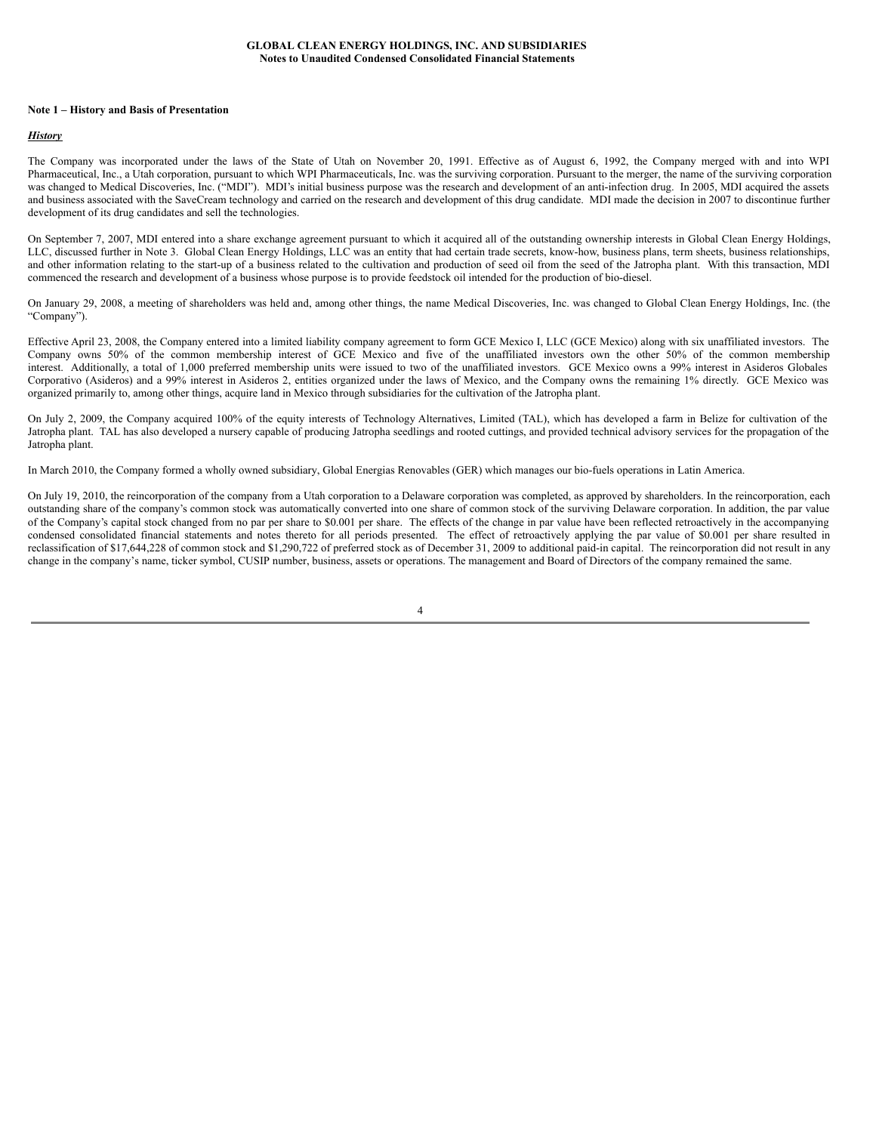### **Note 1 – History and Basis of Presentation**

## *History*

The Company was incorporated under the laws of the State of Utah on November 20, 1991. Effective as of August 6, 1992, the Company merged with and into WPI Pharmaceutical, Inc., a Utah corporation, pursuant to which WPI Pharmaceuticals, Inc. was the surviving corporation. Pursuant to the merger, the name of the surviving corporation was changed to Medical Discoveries, Inc. ("MDI"). MDI's initial business purpose was the research and development of an anti-infection drug. In 2005, MDI acquired the assets and business associated with the SaveCream technology and carried on the research and development of this drug candidate. MDI made the decision in 2007 to discontinue further development of its drug candidates and sell the technologies.

On September 7, 2007, MDI entered into a share exchange agreement pursuant to which it acquired all of the outstanding ownership interests in Global Clean Energy Holdings, LLC, discussed further in Note 3. Global Clean Energy Holdings, LLC was an entity that had certain trade secrets, know-how, business plans, term sheets, business relationships, and other information relating to the start-up of a business related to the cultivation and production of seed oil from the seed of the Jatropha plant. With this transaction, MDI commenced the research and development of a business whose purpose is to provide feedstock oil intended for the production of bio-diesel.

On January 29, 2008, a meeting of shareholders was held and, among other things, the name Medical Discoveries, Inc. was changed to Global Clean Energy Holdings, Inc. (the "Company").

Effective April 23, 2008, the Company entered into a limited liability company agreement to form GCE Mexico I, LLC (GCE Mexico) along with six unaffiliated investors. The Company owns 50% of the common membership interest of GCE Mexico and five of the unaffiliated investors own the other 50% of the common membership interest. Additionally, a total of 1,000 preferred membership units were issued to two of the unaffiliated investors. GCE Mexico owns a 99% interest in Asideros Globales Corporativo (Asideros) and a 99% interest in Asideros 2, entities organized under the laws of Mexico, and the Company owns the remaining 1% directly. GCE Mexico was organized primarily to, among other things, acquire land in Mexico through subsidiaries for the cultivation of the Jatropha plant.

On July 2, 2009, the Company acquired 100% of the equity interests of Technology Alternatives, Limited (TAL), which has developed a farm in Belize for cultivation of the Jatropha plant. TAL has also developed a nursery capable of producing Jatropha seedlings and rooted cuttings, and provided technical advisory services for the propagation of the Jatropha plant.

In March 2010, the Company formed a wholly owned subsidiary, Global Energias Renovables (GER) which manages our bio-fuels operations in Latin America.

On July 19, 2010, the reincorporation of the company from a Utah corporation to a Delaware corporation was completed, as approved by shareholders. In the reincorporation, each outstanding share of the company's common stock was automatically converted into one share of common stock of the surviving Delaware corporation. In addition, the par value of the Company's capital stock changed from no par per share to \$0.001 per share. The effects of the change in par value have been reflected retroactively in the accompanying condensed consolidated financial statements and notes thereto for all periods presented. The effect of retroactively applying the par value of \$0.001 per share resulted in reclassification of \$17,644,228 of common stock and \$1,290,722 of preferred stock as of December 31, 2009 to additional paid-in capital. The reincorporation did not result in any change in the company's name, ticker symbol, CUSIP number, business, assets or operations. The management and Board of Directors of the company remained the same.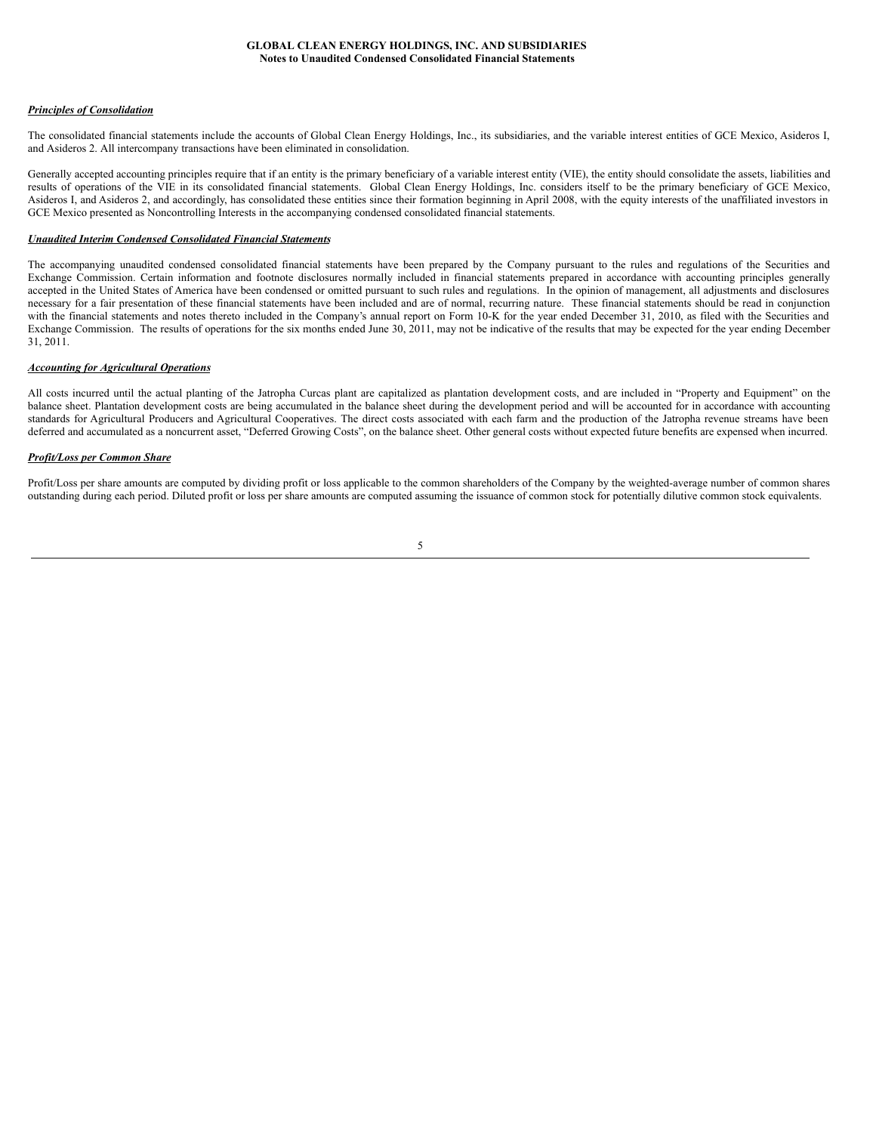### *Principles of Consolidation*

The consolidated financial statements include the accounts of Global Clean Energy Holdings, Inc., its subsidiaries, and the variable interest entities of GCE Mexico, Asideros I, and Asideros 2. All intercompany transactions have been eliminated in consolidation.

Generally accepted accounting principles require that if an entity is the primary beneficiary of a variable interest entity (VIE), the entity should consolidate the assets, liabilities and results of operations of the VIE in its consolidated financial statements. Global Clean Energy Holdings, Inc. considers itself to be the primary beneficiary of GCE Mexico, Asideros I, and Asideros 2, and accordingly, has consolidated these entities since their formation beginning in April 2008, with the equity interests of the unaffiliated investors in GCE Mexico presented as Noncontrolling Interests in the accompanying condensed consolidated financial statements.

### *Unaudited Interim Condensed Consolidated Financial Statements*

The accompanying unaudited condensed consolidated financial statements have been prepared by the Company pursuant to the rules and regulations of the Securities and Exchange Commission. Certain information and footnote disclosures normally included in financial statements prepared in accordance with accounting principles generally accepted in the United States of America have been condensed or omitted pursuant to such rules and regulations. In the opinion of management, all adjustments and disclosures necessary for a fair presentation of these financial statements have been included and are of normal, recurring nature. These financial statements should be read in conjunction with the financial statements and notes thereto included in the Company's annual report on Form 10-K for the year ended December 31, 2010, as filed with the Securities and Exchange Commission. The results of operations for the six months ended June 30, 2011, may not be indicative of the results that may be expected for the year ending December 31, 2011.

## *Accounting for Agricultural Operations*

All costs incurred until the actual planting of the Jatropha Curcas plant are capitalized as plantation development costs, and are included in "Property and Equipment" on the balance sheet. Plantation development costs are being accumulated in the balance sheet during the development period and will be accounted for in accordance with accounting standards for Agricultural Producers and Agricultural Cooperatives. The direct costs associated with each farm and the production of the Jatropha revenue streams have been deferred and accumulated as a noncurrent asset, "Deferred Growing Costs", on the balance sheet. Other general costs without expected future benefits are expensed when incurred.

### *Profit/Loss per Common Share*

Profit/Loss per share amounts are computed by dividing profit or loss applicable to the common shareholders of the Company by the weighted-average number of common shares outstanding during each period. Diluted profit or loss per share amounts are computed assuming the issuance of common stock for potentially dilutive common stock equivalents.

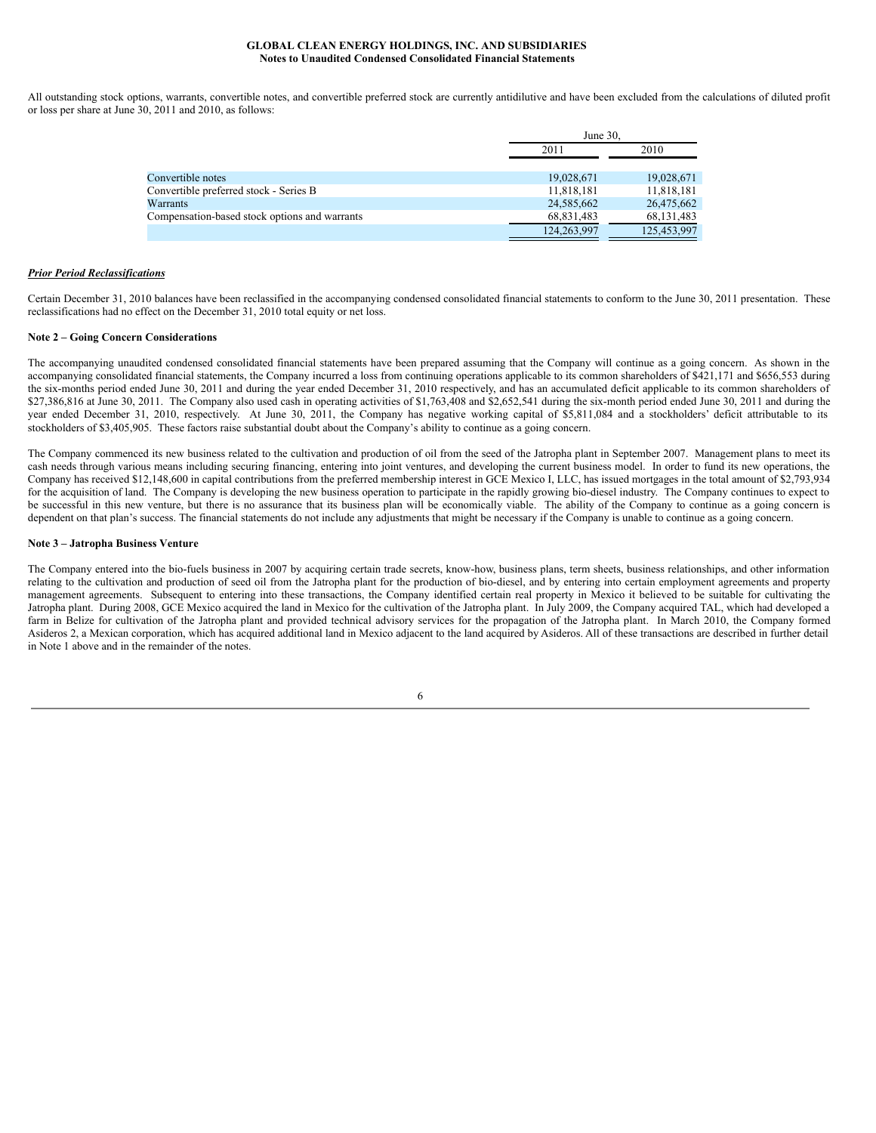All outstanding stock options, warrants, convertible notes, and convertible preferred stock are currently antidilutive and have been excluded from the calculations of diluted profit or loss per share at June 30, 2011 and 2010, as follows:

|                                               | June 30,    |              |
|-----------------------------------------------|-------------|--------------|
|                                               | 2011        | 2010         |
|                                               |             |              |
| Convertible notes                             | 19.028.671  | 19,028,671   |
| Convertible preferred stock - Series B        | 11,818,181  | 11,818,181   |
| Warrants                                      | 24,585,662  | 26,475,662   |
| Compensation-based stock options and warrants | 68,831,483  | 68, 131, 483 |
|                                               | 124,263,997 | 125,453,997  |

#### *Prior Period Reclassifications*

Certain December 31, 2010 balances have been reclassified in the accompanying condensed consolidated financial statements to conform to the June 30, 2011 presentation. These reclassifications had no effect on the December 31, 2010 total equity or net loss.

#### **Note 2 – Going Concern Considerations**

The accompanying unaudited condensed consolidated financial statements have been prepared assuming that the Company will continue as a going concern. As shown in the accompanying consolidated financial statements, the Company incurred a loss from continuing operations applicable to its common shareholders of \$421,171 and \$656,553 during the six-months period ended June 30, 2011 and during the year ended December 31, 2010 respectively, and has an accumulated deficit applicable to its common shareholders of \$27,386,816 at June 30, 2011. The Company also used cash in operating activities of \$1,763,408 and \$2,652,541 during the six-month period ended June 30, 2011 and during the year ended December 31, 2010, respectively. At June 30, 2011, the Company has negative working capital of \$5,811,084 and a stockholders' deficit attributable to its stockholders of \$3,405,905. These factors raise substantial doubt about the Company's ability to continue as a going concern.

The Company commenced its new business related to the cultivation and production of oil from the seed of the Jatropha plant in September 2007. Management plans to meet its cash needs through various means including securing financing, entering into joint ventures, and developing the current business model. In order to fund its new operations, the Company has received \$12,148,600 in capital contributions from the preferred membership interest in GCE Mexico I, LLC, has issued mortgages in the total amount of \$2,793,934 for the acquisition of land. The Company is developing the new business operation to participate in the rapidly growing bio-diesel industry. The Company continues to expect to be successful in this new venture, but there is no assurance that its business plan will be economically viable. The ability of the Company to continue as a going concern is dependent on that plan's success. The financial statements do not include any adjustments that might be necessary if the Company is unable to continue as a going concern.

#### **Note 3 – Jatropha Business Venture**

The Company entered into the bio-fuels business in 2007 by acquiring certain trade secrets, know-how, business plans, term sheets, business relationships, and other information relating to the cultivation and production of seed oil from the Jatropha plant for the production of bio-diesel, and by entering into certain employment agreements and property management agreements. Subsequent to entering into these transactions, the Company identified certain real property in Mexico it believed to be suitable for cultivating the Jatropha plant. During 2008, GCE Mexico acquired the land in Mexico for the cultivation of the Jatropha plant. In July 2009, the Company acquired TAL, which had developed a farm in Belize for cultivation of the Jatropha plant and provided technical advisory services for the propagation of the Jatropha plant. In March 2010, the Company formed Asideros 2, a Mexican corporation, which has acquired additional land in Mexico adjacent to the land acquired by Asideros. All of these transactions are described in further detail in Note 1 above and in the remainder of the notes.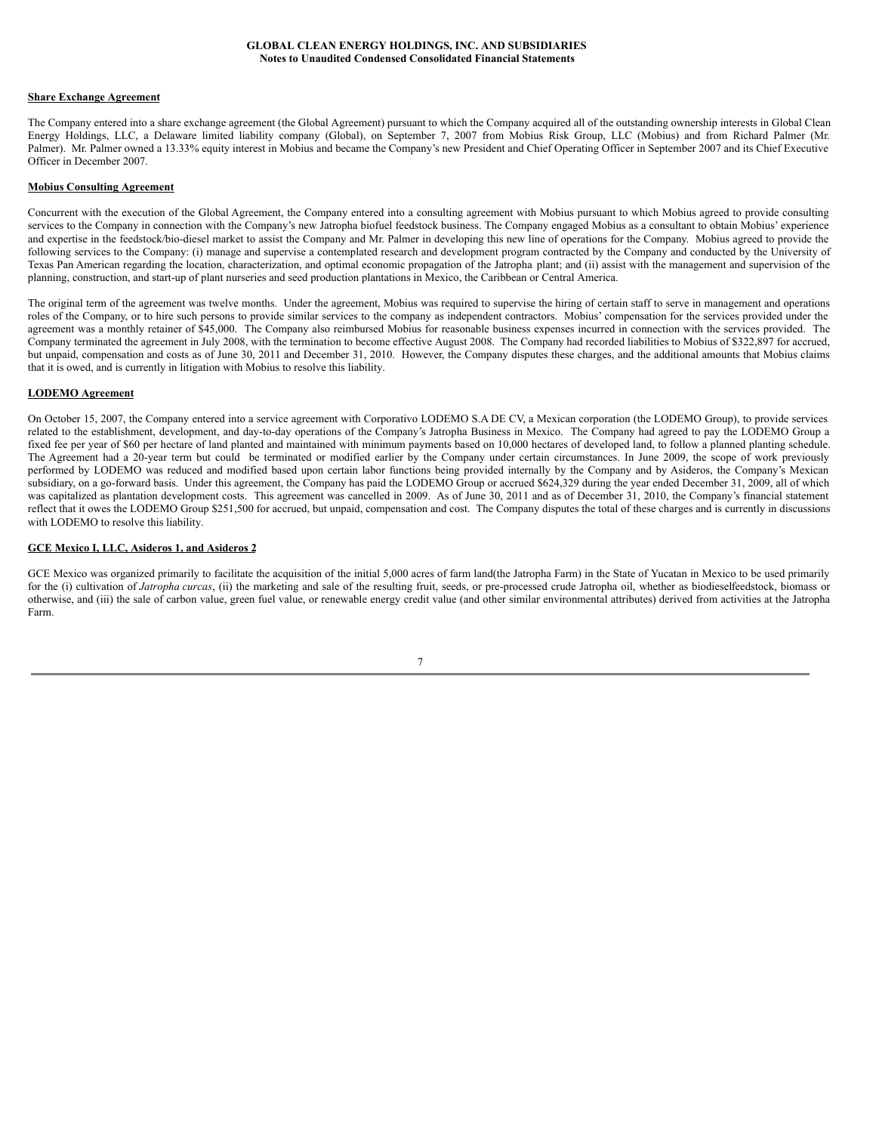#### **Share Exchange Agreement**

The Company entered into a share exchange agreement (the Global Agreement) pursuant to which the Company acquired all of the outstanding ownership interests in Global Clean Energy Holdings, LLC, a Delaware limited liability company (Global), on September 7, 2007 from Mobius Risk Group, LLC (Mobius) and from Richard Palmer (Mr. Palmer). Mr. Palmer owned a 13.33% equity interest in Mobius and became the Company's new President and Chief Operating Officer in September 2007 and its Chief Executive Officer in December 2007.

#### **Mobius Consulting Agreement**

Concurrent with the execution of the Global Agreement, the Company entered into a consulting agreement with Mobius pursuant to which Mobius agreed to provide consulting services to the Company in connection with the Company's new Jatropha biofuel feedstock business. The Company engaged Mobius as a consultant to obtain Mobius' experience and expertise in the feedstock/bio-diesel market to assist the Company and Mr. Palmer in developing this new line of operations for the Company. Mobius agreed to provide the following services to the Company: (i) manage and supervise a contemplated research and development program contracted by the Company and conducted by the University of Texas Pan American regarding the location, characterization, and optimal economic propagation of the Jatropha plant; and (ii) assist with the management and supervision of the planning, construction, and start-up of plant nurseries and seed production plantations in Mexico, the Caribbean or Central America.

The original term of the agreement was twelve months. Under the agreement, Mobius was required to supervise the hiring of certain staff to serve in management and operations roles of the Company, or to hire such persons to provide similar services to the company as independent contractors. Mobius' compensation for the services provided under the agreement was a monthly retainer of \$45,000. The Company also reimbursed Mobius for reasonable business expenses incurred in connection with the services provided. The Company terminated the agreement in July 2008, with the termination to become effective August 2008. The Company had recorded liabilities to Mobius of \$322,897 for accrued, but unpaid, compensation and costs as of June 30, 2011 and December 31, 2010. However, the Company disputes these charges, and the additional amounts that Mobius claims that it is owed, and is currently in litigation with Mobius to resolve this liability.

#### **LODEMO Agreement**

On October 15, 2007, the Company entered into a service agreement with Corporativo LODEMO S.A DE CV, a Mexican corporation (the LODEMO Group), to provide services related to the establishment, development, and day-to-day operations of the Company's Jatropha Business in Mexico. The Company had agreed to pay the LODEMO Group a fixed fee per year of \$60 per hectare of land planted and maintained with minimum payments based on 10,000 hectares of developed land, to follow a planned planting schedule. The Agreement had a 20-year term but could be terminated or modified earlier by the Company under certain circumstances. In June 2009, the scope of work previously performed by LODEMO was reduced and modified based upon certain labor functions being provided internally by the Company and by Asideros, the Company's Mexican subsidiary, on a go-forward basis. Under this agreement, the Company has paid the LODEMO Group or accrued \$624,329 during the year ended December 31, 2009, all of which was capitalized as plantation development costs. This agreement was cancelled in 2009. As of June 30, 2011 and as of December 31, 2010, the Company's financial statement reflect that it owes the LODEMO Group \$251,500 for accrued, but unpaid, compensation and cost. The Company disputes the total of these charges and is currently in discussions with LODEMO to resolve this liability.

#### **GCE Mexico I, LLC, Asideros 1, and Asideros 2**

GCE Mexico was organized primarily to facilitate the acquisition of the initial 5,000 acres of farm land(the Jatropha Farm) in the State of Yucatan in Mexico to be used primarily for the (i) cultivation of *Jatropha curcas*, (ii) the marketing and sale of the resulting fruit, seeds, or pre-processed crude Jatropha oil, whether as biodieselfeedstock, biomass or otherwise, and (iii) the sale of carbon value, green fuel value, or renewable energy credit value (and other similar environmental attributes) derived from activities at the Jatropha Farm.

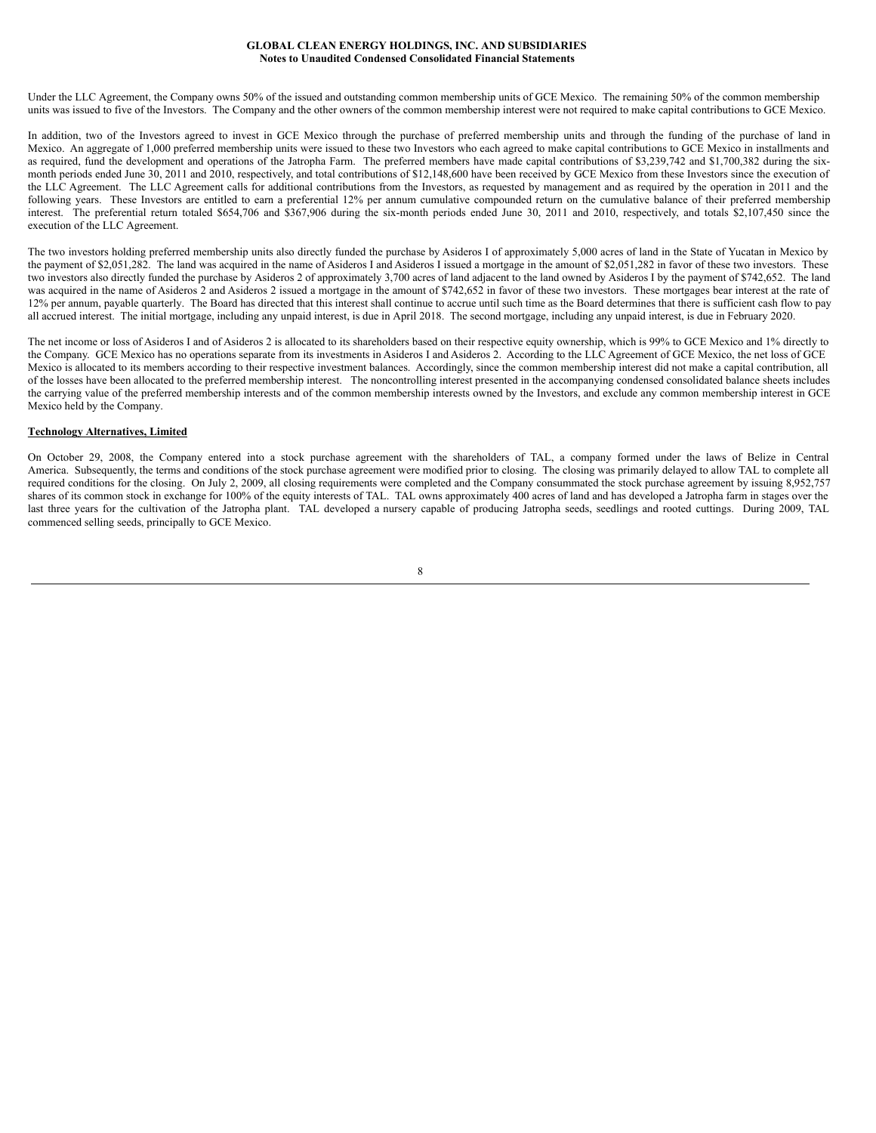Under the LLC Agreement, the Company owns 50% of the issued and outstanding common membership units of GCE Mexico. The remaining 50% of the common membership units was issued to five of the Investors. The Company and the other owners of the common membership interest were not required to make capital contributions to GCE Mexico.

In addition, two of the Investors agreed to invest in GCE Mexico through the purchase of preferred membership units and through the funding of the purchase of land in Mexico. An aggregate of 1,000 preferred membership units were issued to these two Investors who each agreed to make capital contributions to GCE Mexico in installments and as required, fund the development and operations of the Jatropha Farm. The preferred members have made capital contributions of \$3,239,742 and \$1,700,382 during the sixmonth periods ended June 30, 2011 and 2010, respectively, and total contributions of \$12,148,600 have been received by GCE Mexico from these Investors since the execution of the LLC Agreement. The LLC Agreement calls for additional contributions from the Investors, as requested by management and as required by the operation in 2011 and the following years. These Investors are entitled to earn a preferential 12% per annum cumulative compounded return on the cumulative balance of their preferred membership interest. The preferential return totaled \$654,706 and \$367,906 during the six-month periods ended June 30, 2011 and 2010, respectively, and totals \$2,107,450 since the execution of the LLC Agreement.

The two investors holding preferred membership units also directly funded the purchase by Asideros I of approximately 5,000 acres of land in the State of Yucatan in Mexico by the payment of \$2,051,282. The land was acquired in the name of Asideros I and Asideros I issued a mortgage in the amount of \$2,051,282 in favor of these two investors. These two investors also directly funded the purchase by Asideros 2 of approximately 3,700 acres of land adjacent to the land owned by Asideros I by the payment of \$742,652. The land was acquired in the name of Asideros 2 and Asideros 2 issued a mortgage in the amount of \$742,652 in favor of these two investors. These mortgages bear interest at the rate of 12% per annum, payable quarterly. The Board has directed that this interest shall continue to accrue until such time as the Board determines that there is sufficient cash flow to pay all accrued interest. The initial mortgage, including any unpaid interest, is due in April 2018. The second mortgage, including any unpaid interest, is due in February 2020.

The net income or loss of Asideros I and of Asideros 2 is allocated to its shareholders based on their respective equity ownership, which is 99% to GCE Mexico and 1% directly to the Company. GCE Mexico has no operations separate from its investments in Asideros I and Asideros 2. According to the LLC Agreement of GCE Mexico, the net loss of GCE Mexico is allocated to its members according to their respective investment balances. Accordingly, since the common membership interest did not make a capital contribution, all of the losses have been allocated to the preferred membership interest. The noncontrolling interest presented in the accompanying condensed consolidated balance sheets includes the carrying value of the preferred membership interests and of the common membership interests owned by the Investors, and exclude any common membership interest in GCE Mexico held by the Company.

# **Technology Alternatives, Limited**

On October 29, 2008, the Company entered into a stock purchase agreement with the shareholders of TAL, a company formed under the laws of Belize in Central America. Subsequently, the terms and conditions of the stock purchase agreement were modified prior to closing. The closing was primarily delayed to allow TAL to complete all required conditions for the closing. On July 2, 2009, all closing requirements were completed and the Company consummated the stock purchase agreement by issuing 8,952,757 shares of its common stock in exchange for 100% of the equity interests of TAL. TAL owns approximately 400 acres of land and has developed a Jatropha farm in stages over the last three years for the cultivation of the Jatropha plant. TAL developed a nursery capable of producing Jatropha seeds, seedlings and rooted cuttings. During 2009, TAL commenced selling seeds, principally to GCE Mexico.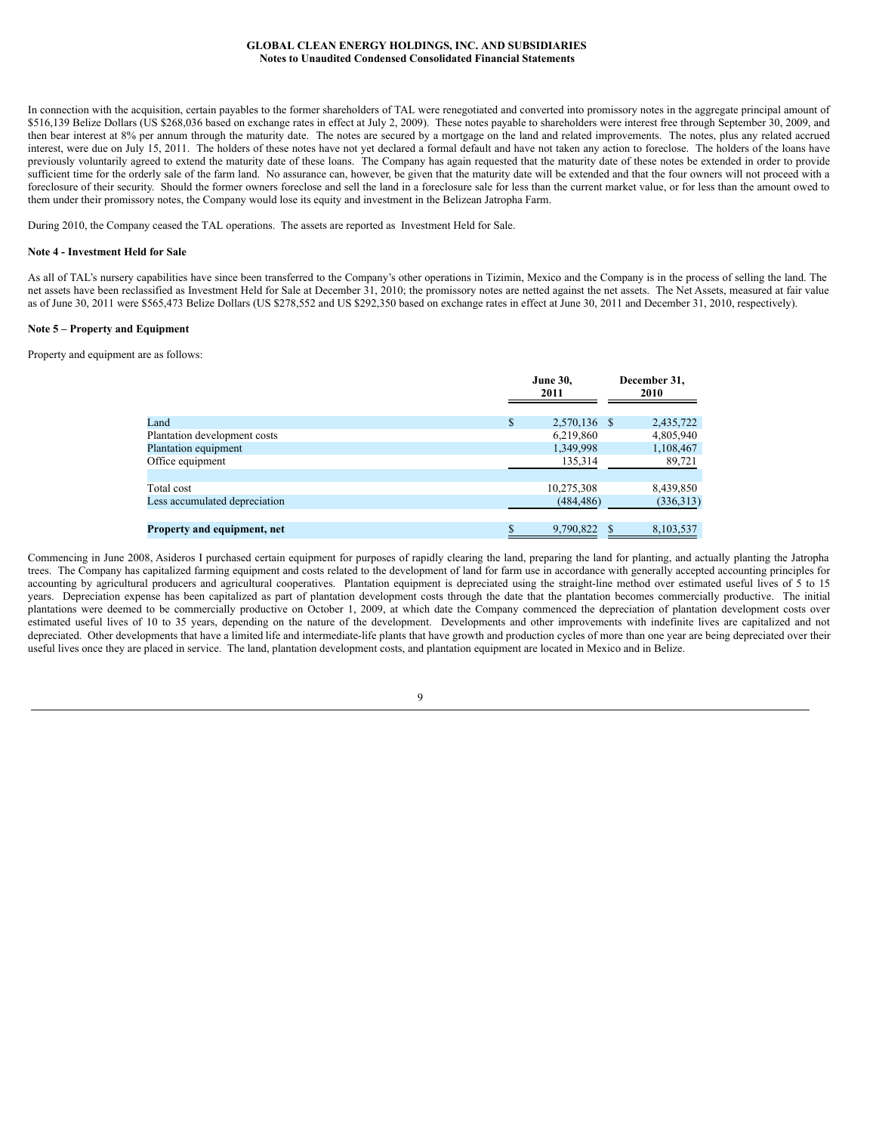In connection with the acquisition, certain payables to the former shareholders of TAL were renegotiated and converted into promissory notes in the aggregate principal amount of \$516,139 Belize Dollars (US \$268,036 based on exchange rates in effect at July 2, 2009). These notes payable to shareholders were interest free through September 30, 2009, and then bear interest at 8% per annum through the maturity date. The notes are secured by a mortgage on the land and related improvements. The notes, plus any related accrued interest, were due on July 15, 2011. The holders of these notes have not yet declared a formal default and have not taken any action to foreclose. The holders of the loans have previously voluntarily agreed to extend the maturity date of these loans. The Company has again requested that the maturity date of these notes be extended in order to provide sufficient time for the orderly sale of the farm land. No assurance can, however, be given that the maturity date will be extended and that the four owners will not proceed with a foreclosure of their security. Should the former owners foreclose and sell the land in a foreclosure sale for less than the current market value, or for less than the amount owed to them under their promissory notes, the Company would lose its equity and investment in the Belizean Jatropha Farm.

During 2010, the Company ceased the TAL operations. The assets are reported as Investment Held for Sale.

#### **Note 4 - Investment Held for Sale**

As all of TAL's nursery capabilities have since been transferred to the Company's other operations in Tizimin, Mexico and the Company is in the process of selling the land. The net assets have been reclassified as Investment Held for Sale at December 31, 2010; the promissory notes are netted against the net assets. The Net Assets, measured at fair value as of June 30, 2011 were \$565,473 Belize Dollars (US \$278,552 and US \$292,350 based on exchange rates in effect at June 30, 2011 and December 31, 2010, respectively).

#### **Note 5 – Property and Equipment**

Property and equipment are as follows:

|                               | <b>June 30,</b><br>2011 |              | December 31,<br>2010 |
|-------------------------------|-------------------------|--------------|----------------------|
| Land                          | \$                      | 2,570,136 \$ | 2,435,722            |
| Plantation development costs  |                         | 6,219,860    | 4,805,940            |
| Plantation equipment          |                         | 1,349,998    | 1,108,467            |
| Office equipment              |                         | 135,314      | 89,721               |
|                               |                         |              |                      |
| Total cost                    |                         | 10,275,308   | 8,439,850            |
| Less accumulated depreciation |                         | (484, 486)   | (336,313)            |
|                               |                         |              |                      |
| Property and equipment, net   | S                       | 9,790,822    | 8,103,537            |

Commencing in June 2008, Asideros I purchased certain equipment for purposes of rapidly clearing the land, preparing the land for planting, and actually planting the Jatropha trees. The Company has capitalized farming equipment and costs related to the development of land for farm use in accordance with generally accepted accounting principles for accounting by agricultural producers and agricultural cooperatives. Plantation equipment is depreciated using the straight-line method over estimated useful lives of 5 to 15 years. Depreciation expense has been capitalized as part of plantation development costs through the date that the plantation becomes commercially productive. The initial plantations were deemed to be commercially productive on October 1, 2009, at which date the Company commenced the depreciation of plantation development costs over estimated useful lives of 10 to 35 years, depending on the nature of the development. Developments and other improvements with indefinite lives are capitalized and not depreciated. Other developments that have a limited life and intermediate-life plants that have growth and production cycles of more than one year are being depreciated over their useful lives once they are placed in service. The land, plantation development costs, and plantation equipment are located in Mexico and in Belize.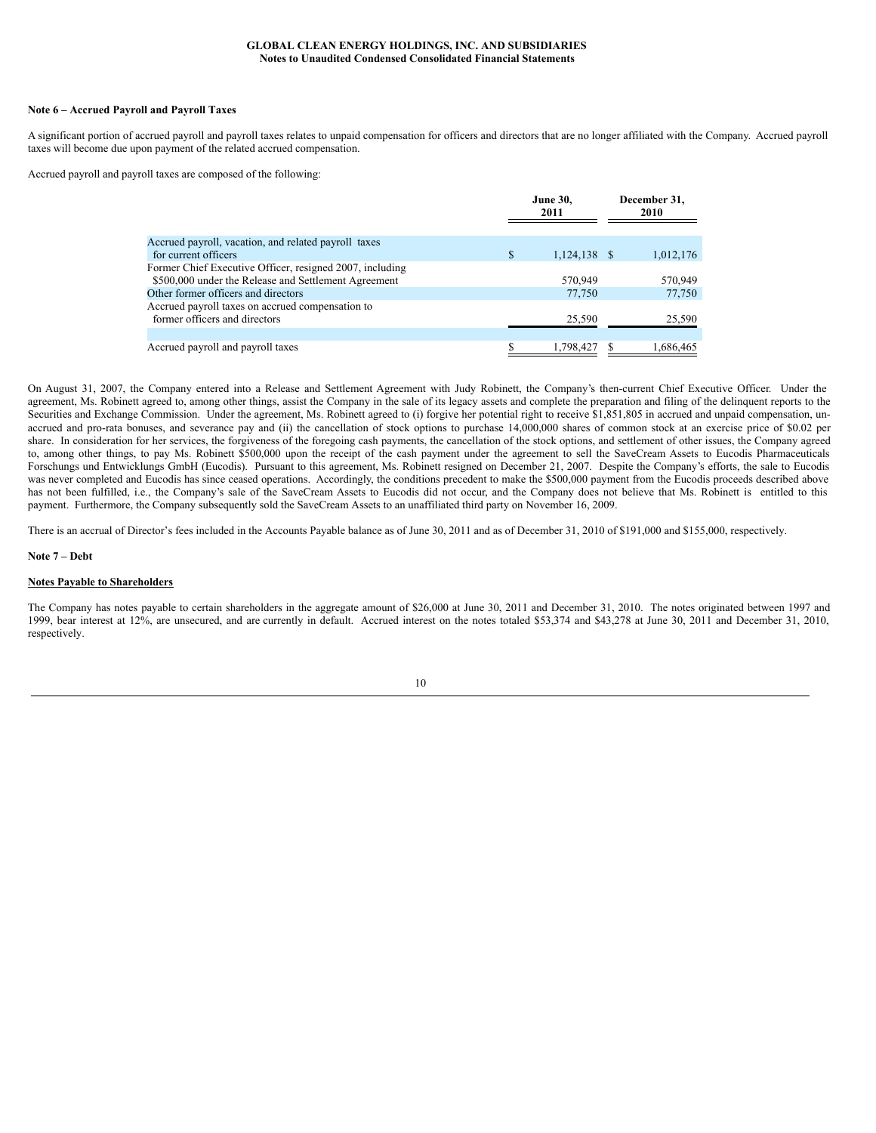#### **Note 6 – Accrued Payroll and Payroll Taxes**

A significant portion of accrued payroll and payroll taxes relates to unpaid compensation for officers and directors that are no longer affiliated with the Company. Accrued payroll taxes will become due upon payment of the related accrued compensation.

Accrued payroll and payroll taxes are composed of the following:

|                                                          |   | <b>June 30,</b><br>2011 | December 31,<br>2010 |
|----------------------------------------------------------|---|-------------------------|----------------------|
| Accrued payroll, vacation, and related payroll taxes     |   |                         |                      |
| for current officers                                     | S | 1,124,138 \$            | 1,012,176            |
| Former Chief Executive Officer, resigned 2007, including |   |                         |                      |
| \$500,000 under the Release and Settlement Agreement     |   | 570.949                 | 570,949              |
| Other former officers and directors                      |   | 77,750                  | 77,750               |
| Accrued payroll taxes on accrued compensation to         |   |                         |                      |
| former officers and directors                            |   | 25,590                  | 25,590               |
|                                                          |   |                         |                      |
| Accrued payroll and payroll taxes                        |   | 1,798,427               | 1.686.465            |

On August 31, 2007, the Company entered into a Release and Settlement Agreement with Judy Robinett, the Company's then-current Chief Executive Officer. Under the agreement, Ms. Robinett agreed to, among other things, assist the Company in the sale of its legacy assets and complete the preparation and filing of the delinquent reports to the Securities and Exchange Commission. Under the agreement, Ms. Robinett agreed to (i) forgive her potential right to receive \$1,851,805 in accrued and unpaid compensation, unaccrued and pro-rata bonuses, and severance pay and (ii) the cancellation of stock options to purchase 14,000,000 shares of common stock at an exercise price of \$0.02 per share. In consideration for her services, the forgiveness of the foregoing cash payments, the cancellation of the stock options, and settlement of other issues, the Company agreed to, among other things, to pay Ms. Robinett \$500,000 upon the receipt of the cash payment under the agreement to sell the SaveCream Assets to Eucodis Pharmaceuticals Forschungs und Entwicklungs GmbH (Eucodis). Pursuant to this agreement, Ms. Robinett resigned on December 21, 2007. Despite the Company's efforts, the sale to Eucodis was never completed and Eucodis has since ceased operations. Accordingly, the conditions precedent to make the \$500,000 payment from the Eucodis proceeds described above has not been fulfilled, i.e., the Company's sale of the SaveCream Assets to Eucodis did not occur, and the Company does not believe that Ms. Robinett is entitled to this payment. Furthermore, the Company subsequently sold the SaveCream Assets to an unaffiliated third party on November 16, 2009.

There is an accrual of Director's fees included in the Accounts Payable balance as of June 30, 2011 and as of December 31, 2010 of \$191,000 and \$155,000, respectively.

#### **Note 7 – Debt**

#### **Notes Payable to Shareholders**

The Company has notes payable to certain shareholders in the aggregate amount of \$26,000 at June 30, 2011 and December 31, 2010. The notes originated between 1997 and 1999, bear interest at 12%, are unsecured, and are currently in default. Accrued interest on the notes totaled \$53,374 and \$43,278 at June 30, 2011 and December 31, 2010, respectively.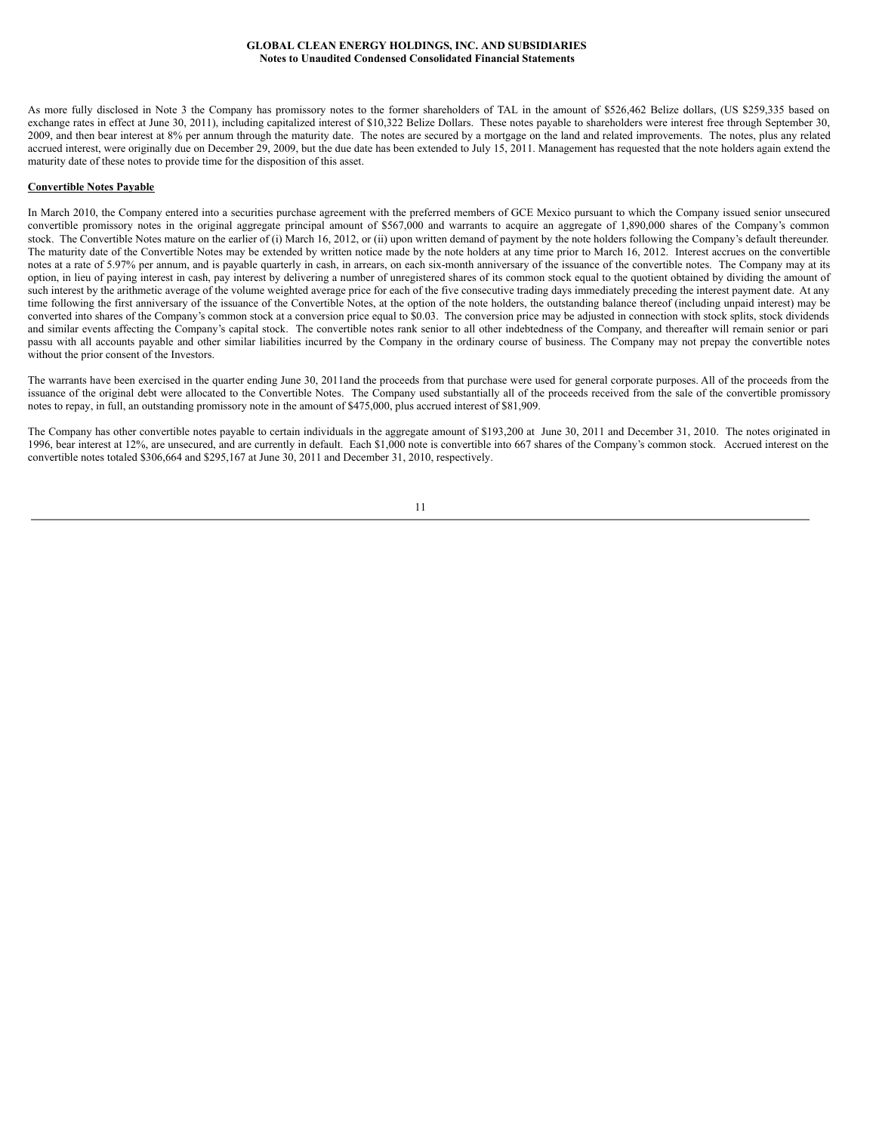As more fully disclosed in Note 3 the Company has promissory notes to the former shareholders of TAL in the amount of \$526,462 Belize dollars, (US \$259,335 based on exchange rates in effect at June 30, 2011), including capitalized interest of \$10,322 Belize Dollars. These notes payable to shareholders were interest free through September 30, 2009, and then bear interest at 8% per annum through the maturity date. The notes are secured by a mortgage on the land and related improvements. The notes, plus any related accrued interest, were originally due on December 29, 2009, but the due date has been extended to July 15, 2011. Management has requested that the note holders again extend the maturity date of these notes to provide time for the disposition of this asset.

### **Convertible Notes Payable**

In March 2010, the Company entered into a securities purchase agreement with the preferred members of GCE Mexico pursuant to which the Company issued senior unsecured convertible promissory notes in the original aggregate principal amount of \$567,000 and warrants to acquire an aggregate of 1,890,000 shares of the Company's common stock. The Convertible Notes mature on the earlier of (i) March 16, 2012, or (ii) upon written demand of payment by the note holders following the Company's default thereunder. The maturity date of the Convertible Notes may be extended by written notice made by the note holders at any time prior to March 16, 2012. Interest accrues on the convertible notes at a rate of 5.97% per annum, and is payable quarterly in cash, in arrears, on each six-month anniversary of the issuance of the convertible notes. The Company may at its option, in lieu of paying interest in cash, pay interest by delivering a number of unregistered shares of its common stock equal to the quotient obtained by dividing the amount of such interest by the arithmetic average of the volume weighted average price for each of the five consecutive trading days immediately preceding the interest payment date. At any time following the first anniversary of the issuance of the Convertible Notes, at the option of the note holders, the outstanding balance thereof (including unpaid interest) may be converted into shares of the Company's common stock at a conversion price equal to \$0.03. The conversion price may be adjusted in connection with stock splits, stock dividends and similar events affecting the Company's capital stock. The convertible notes rank senior to all other indebtedness of the Company, and thereafter will remain senior or pari passu with all accounts payable and other similar liabilities incurred by the Company in the ordinary course of business. The Company may not prepay the convertible notes without the prior consent of the Investors.

The warrants have been exercised in the quarter ending June 30, 2011and the proceeds from that purchase were used for general corporate purposes. All of the proceeds from the issuance of the original debt were allocated to the Convertible Notes. The Company used substantially all of the proceeds received from the sale of the convertible promissory notes to repay, in full, an outstanding promissory note in the amount of \$475,000, plus accrued interest of \$81,909.

The Company has other convertible notes payable to certain individuals in the aggregate amount of \$193,200 at June 30, 2011 and December 31, 2010. The notes originated in 1996, bear interest at 12%, are unsecured, and are currently in default. Each \$1,000 note is convertible into 667 shares of the Company's common stock. Accrued interest on the convertible notes totaled \$306,664 and \$295,167 at June 30, 2011 and December 31, 2010, respectively.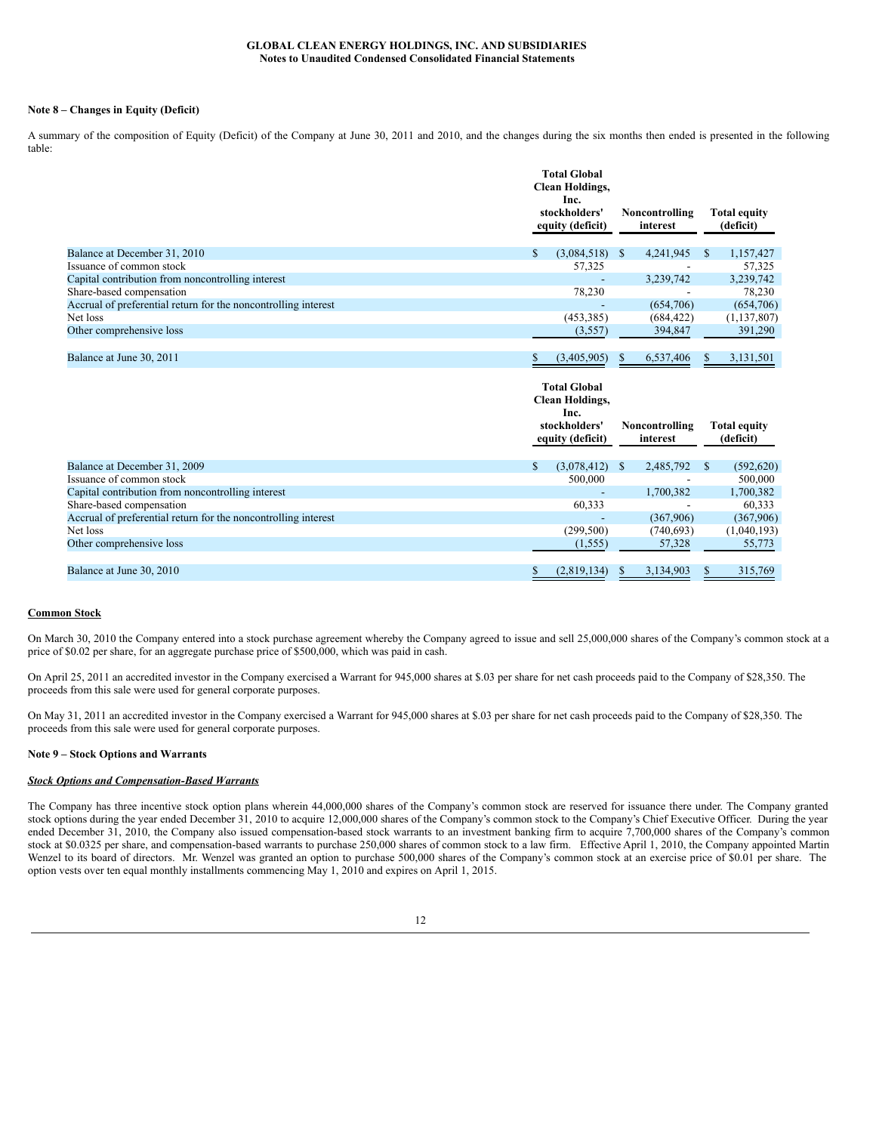## **Note 8 – Changes in Equity (Deficit)**

A summary of the composition of Equity (Deficit) of the Company at June 30, 2011 and 2010, and the changes during the six months then ended is presented in the following table:

|                                                                | <b>Total Global</b><br><b>Clean Holdings,</b><br>Inc.<br>stockholders'<br>Noncontrolling<br><b>Total equity</b><br>(deficit)<br>equity (deficit)<br>interest |               |
|----------------------------------------------------------------|--------------------------------------------------------------------------------------------------------------------------------------------------------------|---------------|
| Balance at December 31, 2010                                   | \$<br>(3,084,518)<br><sup>\$</sup><br>4,241,945<br>\$                                                                                                        | 1,157,427     |
| Issuance of common stock                                       | 57,325                                                                                                                                                       | 57,325        |
| Capital contribution from noncontrolling interest              | 3,239,742                                                                                                                                                    | 3,239,742     |
| Share-based compensation                                       | 78,230                                                                                                                                                       | 78,230        |
| Accrual of preferential return for the noncontrolling interest | (654,706)                                                                                                                                                    | (654,706)     |
| Net loss                                                       | (453, 385)<br>(684, 422)                                                                                                                                     | (1, 137, 807) |
| Other comprehensive loss                                       | (3,557)<br>394,847                                                                                                                                           | 391,290       |
| Balance at June 30, 2011                                       | (3,405,905)<br>6,537,406<br>S<br>S<br>\$                                                                                                                     | 3,131,501     |
|                                                                | <b>Total Global</b><br><b>Clean Holdings,</b><br>Inc.<br>stockholders'<br>Noncontrolling<br><b>Total equity</b><br>(deficit)<br>equity (deficit)<br>interest |               |
| Balance at December 31, 2009                                   | \$<br>(3,078,412)<br>2,485,792<br><sup>S</sup><br><sup>\$</sup>                                                                                              | (592, 620)    |
| Issuance of common stock                                       | 500,000                                                                                                                                                      | 500,000       |
| Capital contribution from noncontrolling interest              | 1,700,382                                                                                                                                                    | 1,700,382     |
| Share-based compensation                                       | 60,333                                                                                                                                                       | 60,333        |
| Accrual of preferential return for the noncontrolling interest | (367,906)                                                                                                                                                    | (367,906)     |
| Net loss                                                       | (299, 500)<br>(740, 693)                                                                                                                                     | (1,040,193)   |
| Other comprehensive loss                                       | (1, 555)<br>57,328                                                                                                                                           | 55,773        |
|                                                                |                                                                                                                                                              |               |

## **Common Stock**

On March 30, 2010 the Company entered into a stock purchase agreement whereby the Company agreed to issue and sell 25,000,000 shares of the Company's common stock at a price of \$0.02 per share, for an aggregate purchase price of \$500,000, which was paid in cash.

On April 25, 2011 an accredited investor in the Company exercised a Warrant for 945,000 shares at \$.03 per share for net cash proceeds paid to the Company of \$28,350. The proceeds from this sale were used for general corporate purposes.

On May 31, 2011 an accredited investor in the Company exercised a Warrant for 945,000 shares at \$.03 per share for net cash proceeds paid to the Company of \$28,350. The proceeds from this sale were used for general corporate purposes.

#### **Note 9 – Stock Options and Warrants**

#### *Stock Options and Compensation-Based Warrants*

The Company has three incentive stock option plans wherein 44,000,000 shares of the Company's common stock are reserved for issuance there under. The Company granted stock options during the year ended December 31, 2010 to acquire 12,000,000 shares of the Company's common stock to the Company's Chief Executive Officer. During the year ended December 31, 2010, the Company also issued compensation-based stock warrants to an investment banking firm to acquire 7,700,000 shares of the Company's common stock at \$0.0325 per share, and compensation-based warrants to purchase 250,000 shares of common stock to a law firm. Effective April 1, 2010, the Company appointed Martin Wenzel to its board of directors. Mr. Wenzel was granted an option to purchase 500,000 shares of the Company's common stock at an exercise price of \$0.01 per share. The option vests over ten equal monthly installments commencing May 1, 2010 and expires on April 1, 2015.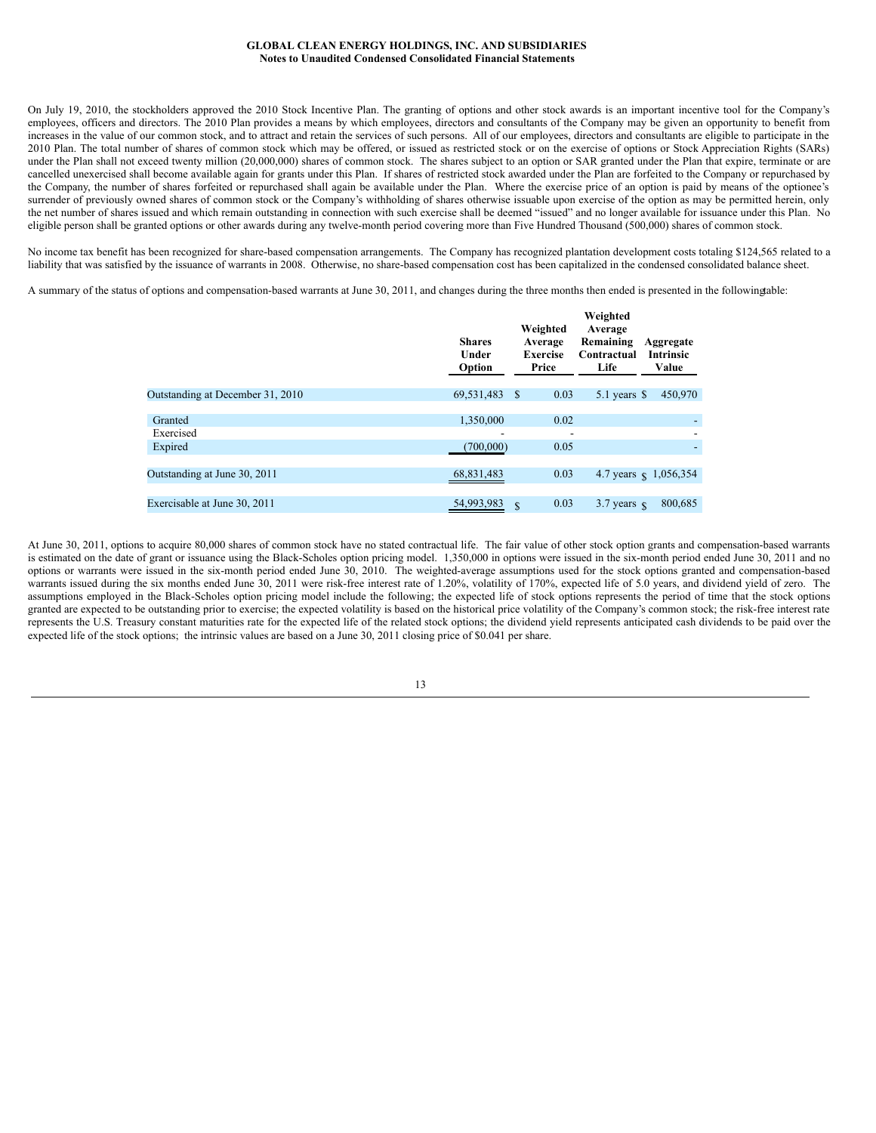On July 19, 2010, the stockholders approved the 2010 Stock Incentive Plan. The granting of options and other stock awards is an important incentive tool for the Company's employees, officers and directors. The 2010 Plan provides a means by which employees, directors and consultants of the Company may be given an opportunity to benefit from increases in the value of our common stock, and to attract and retain the services of such persons. All of our employees, directors and consultants are eligible to participate in the 2010 Plan. The total number of shares of common stock which may be offered, or issued as restricted stock or on the exercise of options or Stock Appreciation Rights (SARs) under the Plan shall not exceed twenty million (20,000,000) shares of common stock. The shares subject to an option or SAR granted under the Plan that expire, terminate or are cancelled unexercised shall become available again for grants under this Plan. If shares of restricted stock awarded under the Plan are forfeited to the Company or repurchased by the Company, the number of shares forfeited or repurchased shall again be available under the Plan. Where the exercise price of an option is paid by means of the optionee's surrender of previously owned shares of common stock or the Company's withholding of shares otherwise issuable upon exercise of the option as may be permitted herein, only the net number of shares issued and which remain outstanding in connection with such exercise shall be deemed "issued" and no longer available for issuance under this Plan. No eligible person shall be granted options or other awards during any twelve-month period covering more than Five Hundred Thousand (500,000) shares of common stock.

No income tax benefit has been recognized for share-based compensation arrangements. The Company has recognized plantation development costs totaling \$124,565 related to a liability that was satisfied by the issuance of warrants in 2008. Otherwise, no share-based compensation cost has been capitalized in the condensed consolidated balance sheet.

A summary of the status of options and compensation-based warrants at June 30, 2011, and changes during the three months then ended is presented in the followingtable:

|                                  | <b>Shares</b><br>Under<br>Option | Weighted<br>Average<br><b>Exercise</b><br>Price | Weighted<br>Average<br>Remaining<br>Contractual<br>Life | Aggregate<br><b>Intrinsic</b><br>Value |
|----------------------------------|----------------------------------|-------------------------------------------------|---------------------------------------------------------|----------------------------------------|
| Outstanding at December 31, 2010 | 69,531,483 \$                    | 0.03                                            | 5.1 years \$                                            | 450,970                                |
| Granted                          | 1,350,000                        | 0.02                                            |                                                         |                                        |
| Exercised                        |                                  |                                                 |                                                         |                                        |
| Expired                          | (700,000)                        | 0.05                                            |                                                         |                                        |
|                                  |                                  |                                                 |                                                         |                                        |
| Outstanding at June 30, 2011     | 68,831,483                       | 0.03                                            |                                                         | 4.7 years $\frac{1}{9}$ 1,056,354      |
|                                  |                                  |                                                 |                                                         |                                        |
| Exercisable at June 30, 2011     | 54,993,983                       | 0.03<br><b>S</b>                                | $3.7 \text{ years}$ \$                                  | 800,685                                |

At June 30, 2011, options to acquire 80,000 shares of common stock have no stated contractual life. The fair value of other stock option grants and compensation-based warrants is estimated on the date of grant or issuance using the Black-Scholes option pricing model. 1,350,000 in options were issued in the six-month period ended June 30, 2011 and no options or warrants were issued in the six-month period ended June 30, 2010. The weighted-average assumptions used for the stock options granted and compensation-based warrants issued during the six months ended June 30, 2011 were risk-free interest rate of 1.20%, volatility of 170%, expected life of 5.0 years, and dividend yield of zero. The assumptions employed in the Black-Scholes option pricing model include the following; the expected life of stock options represents the period of time that the stock options granted are expected to be outstanding prior to exercise; the expected volatility is based on the historical price volatility of the Company's common stock; the risk-free interest rate represents the U.S. Treasury constant maturities rate for the expected life of the related stock options; the dividend yield represents anticipated cash dividends to be paid over the expected life of the stock options; the intrinsic values are based on a June 30, 2011 closing price of \$0.041 per share.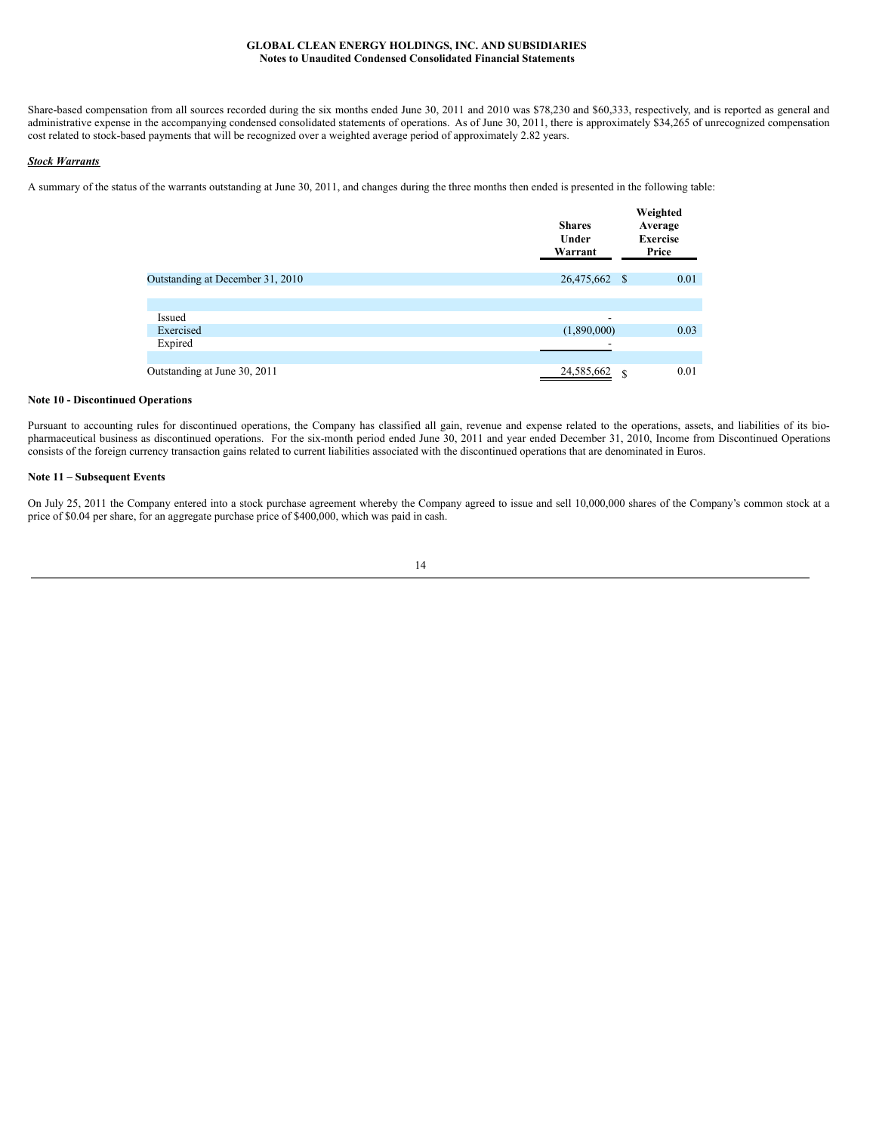Share-based compensation from all sources recorded during the six months ended June 30, 2011 and 2010 was \$78,230 and \$60,333, respectively, and is reported as general and administrative expense in the accompanying condensed consolidated statements of operations. As of June 30, 2011, there is approximately \$34,265 of unrecognized compensation cost related to stock-based payments that will be recognized over a weighted average period of approximately 2.82 years.

#### *Stock Warrants*

A summary of the status of the warrants outstanding at June 30, 2011, and changes during the three months then ended is presented in the following table:

|                                  | <b>Shares</b><br>Under<br>Warrant | Weighted<br>Average<br><b>Exercise</b><br>Price |
|----------------------------------|-----------------------------------|-------------------------------------------------|
| Outstanding at December 31, 2010 | 26,475,662 \$                     | 0.01                                            |
|                                  |                                   |                                                 |
| Issued                           | -                                 |                                                 |
| Exercised                        | (1,890,000)                       | 0.03                                            |
| Expired                          |                                   |                                                 |
|                                  |                                   |                                                 |
| Outstanding at June 30, 2011     | 24,585,662                        | 0.01<br>S                                       |

#### **Note 10 - Discontinued Operations**

Pursuant to accounting rules for discontinued operations, the Company has classified all gain, revenue and expense related to the operations, assets, and liabilities of its biopharmaceutical business as discontinued operations. For the six-month period ended June 30, 2011 and year ended December 31, 2010, Income from Discontinued Operations consists of the foreign currency transaction gains related to current liabilities associated with the discontinued operations that are denominated in Euros.

#### **Note 11 – Subsequent Events**

On July 25, 2011 the Company entered into a stock purchase agreement whereby the Company agreed to issue and sell 10,000,000 shares of the Company's common stock at a price of \$0.04 per share, for an aggregate purchase price of \$400,000, which was paid in cash.

| I |
|---|
|   |
|   |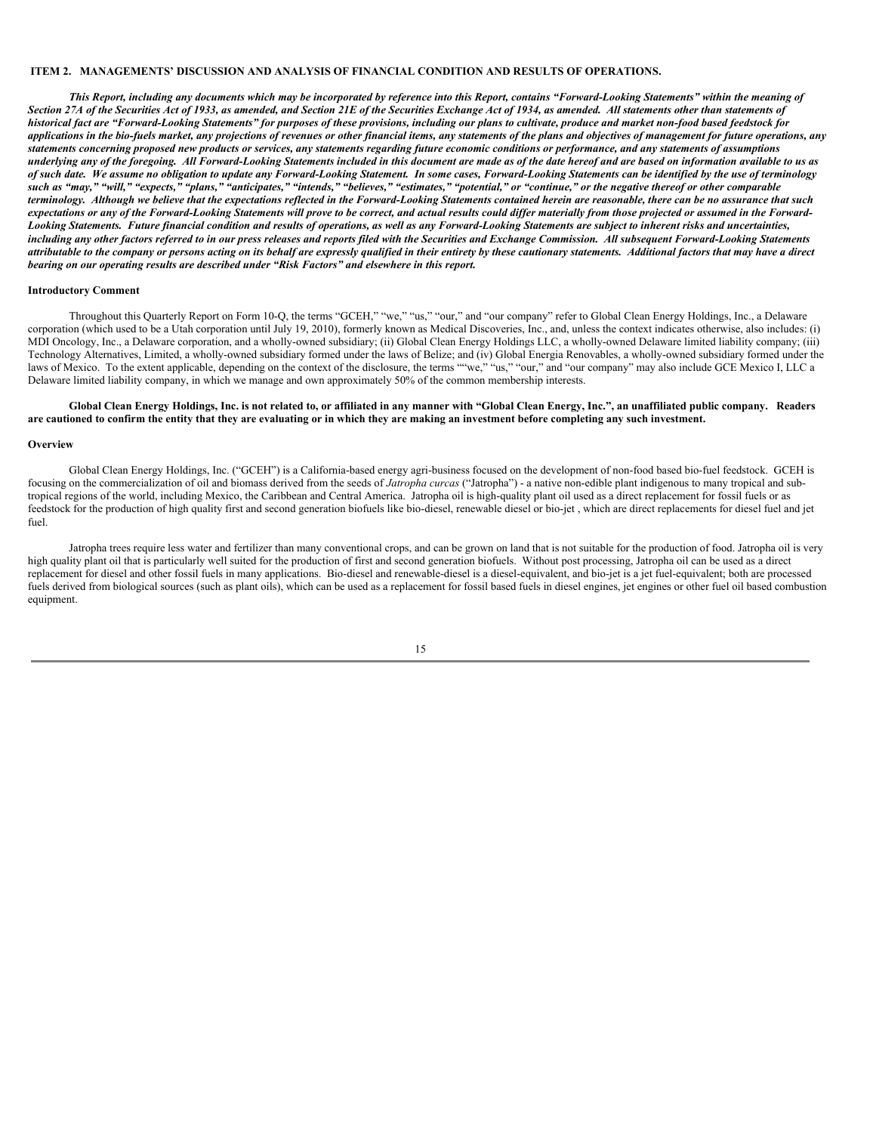#### **ITEM 2. MANAGEMENTS' DISCUSSION AND ANALYSIS OF FINANCIAL CONDITION AND RESULTS OF OPERATIONS.**

This Report, including any documents which may be incorporated by reference into this Report, contains "Forward-Looking Statements" within the meaning of Section 27A of the Securities Act of 1933, as amended, and Section 21E of the Securities Exchange Act of 1934, as amended. All statements other than statements of historical fact are "Forward-Looking Statements" for purposes of these provisions, including our plans to cultivate, produce and market non-food based feedstock for applications in the bio-fuels market, any projections of revenues or other financial items, any statements of the plans and objectives of management for future operations, any statements concerning proposed new products or services, any statements regarding future economic conditions or performance, and any statements of assumptions underlying any of the foregoing. All Forward-Looking Statements included in this document are made as of the date hereof and are based on information available to us as of such date. We assume no obligation to update any Forward-Looking Statement. In some cases, Forward-Looking Statements can be identified by the use of terminology such as "may," "will," "expects," "plans," "anticipates," "intends," "believes," "estimates," "potential," or "continue," or the negative thereof or other comparable terminology. Although we believe that the expectations reflected in the Forward-Looking Statements contained herein are reasonable, there can be no assurance that such expectations or any of the Forward-Looking Statements will prove to be correct, and actual results could differ materially from those projected or assumed in the Forward-Looking Statements. Future financial condition and results of operations, as well as any Forward-Looking Statements are subject to inherent risks and uncertainties, including any other factors referred to in our press releases and reports filed with the Securities and Exchange Commission. All subsequent Forward-Looking Statements attributable to the company or persons acting on its behalf are expressly qualified in their entirety by these cautionary statements. Additional factors that may have a direct *bearing on our operating results are described under "Risk Factors" and elsewhere in this report.*

#### **Introductory Comment**

Throughout this Quarterly Report on Form 10-Q, the terms "GCEH," "we," "us," "our," and "our company" refer to Global Clean Energy Holdings, Inc., a Delaware corporation (which used to be a Utah corporation until July 19, 2010), formerly known as Medical Discoveries, Inc., and, unless the context indicates otherwise, also includes: (i) MDI Oncology, Inc., a Delaware corporation, and a wholly-owned subsidiary; (ii) Global Clean Energy Holdings LLC, a wholly-owned Delaware limited liability company; (iii) Technology Alternatives, Limited, a wholly-owned subsidiary formed under the laws of Belize; and (iv) Global Energia Renovables, a wholly-owned subsidiary formed under the laws of Mexico. To the extent applicable, depending on the context of the disclosure, the terms ""we," "us," "our," and "our company" may also include GCE Mexico I, LLC a Delaware limited liability company, in which we manage and own approximately 50% of the common membership interests.

### Global Clean Energy Holdings, Inc. is not related to, or affiliated in any manner with "Global Clean Energy, Inc.", an unaffiliated public company. Readers are cautioned to confirm the entity that they are evaluating or in which they are making an investment before completing any such investment.

#### **Overview**

Global Clean Energy Holdings, Inc. ("GCEH") is a California-based energy agri-business focused on the development of non-food based bio-fuel feedstock. GCEH is focusing on the commercialization of oil and biomass derived from the seeds of *Jatropha curcas* ("Jatropha") - a native non-edible plant indigenous to many tropical and subtropical regions of the world, including Mexico, the Caribbean and Central America. Jatropha oil is high-quality plant oil used as a direct replacement for fossil fuels or as feedstock for the production of high quality first and second generation biofuels like bio-diesel, renewable diesel or bio-jet , which are direct replacements for diesel fuel and jet fuel.

Jatropha trees require less water and fertilizer than many conventional crops, and can be grown on land that is not suitable for the production of food. Jatropha oil is very high quality plant oil that is particularly well suited for the production of first and second generation biofuels. Without post processing, Jatropha oil can be used as a direct replacement for diesel and other fossil fuels in many applications. Bio-diesel and renewable-diesel is a diesel-equivalent, and bio-jet is a jet fuel-equivalent; both are processed fuels derived from biological sources (such as plant oils), which can be used as a replacement for fossil based fuels in diesel engines, jet engines or other fuel oil based combustion equipment.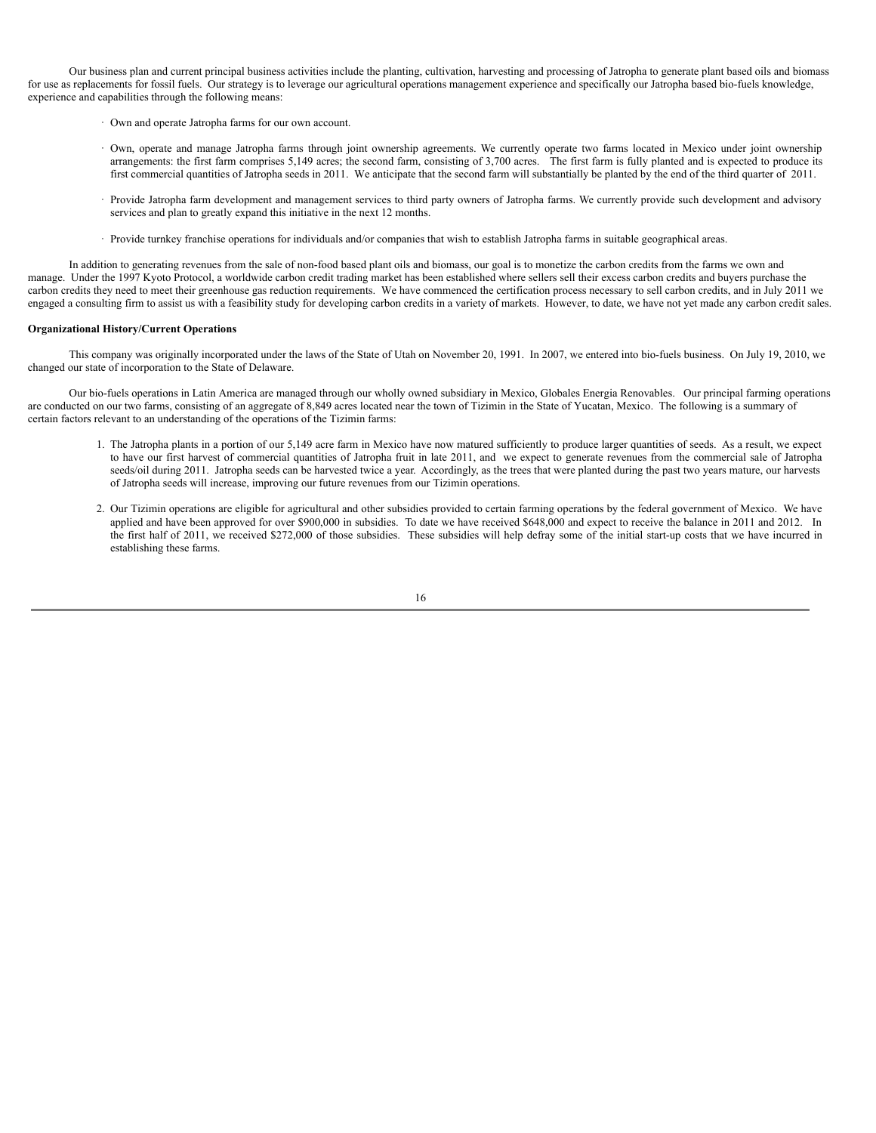Our business plan and current principal business activities include the planting, cultivation, harvesting and processing of Jatropha to generate plant based oils and biomass for use as replacements for fossil fuels. Our strategy is to leverage our agricultural operations management experience and specifically our Jatropha based bio-fuels knowledge, experience and capabilities through the following means:

- · Own and operate Jatropha farms for our own account.
- · Own, operate and manage Jatropha farms through joint ownership agreements. We currently operate two farms located in Mexico under joint ownership arrangements: the first farm comprises 5,149 acres; the second farm, consisting of 3,700 acres. The first farm is fully planted and is expected to produce its first commercial quantities of Jatropha seeds in 2011. We anticipate that the second farm will substantially be planted by the end of the third quarter of 2011.
- · Provide Jatropha farm development and management services to third party owners of Jatropha farms. We currently provide such development and advisory services and plan to greatly expand this initiative in the next 12 months.
- · Provide turnkey franchise operations for individuals and/or companies that wish to establish Jatropha farms in suitable geographical areas.

In addition to generating revenues from the sale of non-food based plant oils and biomass, our goal is to monetize the carbon credits from the farms we own and manage. Under the 1997 Kyoto Protocol, a worldwide carbon credit trading market has been established where sellers sell their excess carbon credits and buyers purchase the carbon credits they need to meet their greenhouse gas reduction requirements. We have commenced the certification process necessary to sell carbon credits, and in July 2011 we engaged a consulting firm to assist us with a feasibility study for developing carbon credits in a variety of markets. However, to date, we have not yet made any carbon credit sales.

#### **Organizational History/Current Operations**

This company was originally incorporated under the laws of the State of Utah on November 20, 1991. In 2007, we entered into bio-fuels business. On July 19, 2010, we changed our state of incorporation to the State of Delaware.

Our bio-fuels operations in Latin America are managed through our wholly owned subsidiary in Mexico, Globales Energia Renovables. Our principal farming operations are conducted on our two farms, consisting of an aggregate of 8,849 acres located near the town of Tizimin in the State of Yucatan, Mexico. The following is a summary of certain factors relevant to an understanding of the operations of the Tizimin farms:

- 1. The Jatropha plants in a portion of our 5,149 acre farm in Mexico have now matured sufficiently to produce larger quantities of seeds. As a result, we expect to have our first harvest of commercial quantities of Jatropha fruit in late 2011, and we expect to generate revenues from the commercial sale of Jatropha seeds/oil during 2011. Jatropha seeds can be harvested twice a year. Accordingly, as the trees that were planted during the past two years mature, our harvests of Jatropha seeds will increase, improving our future revenues from our Tizimin operations.
- 2. Our Tizimin operations are eligible for agricultural and other subsidies provided to certain farming operations by the federal government of Mexico. We have applied and have been approved for over \$900,000 in subsidies. To date we have received \$648,000 and expect to receive the balance in 2011 and 2012. In the first half of 2011, we received \$272,000 of those subsidies. These subsidies will help defray some of the initial start-up costs that we have incurred in establishing these farms.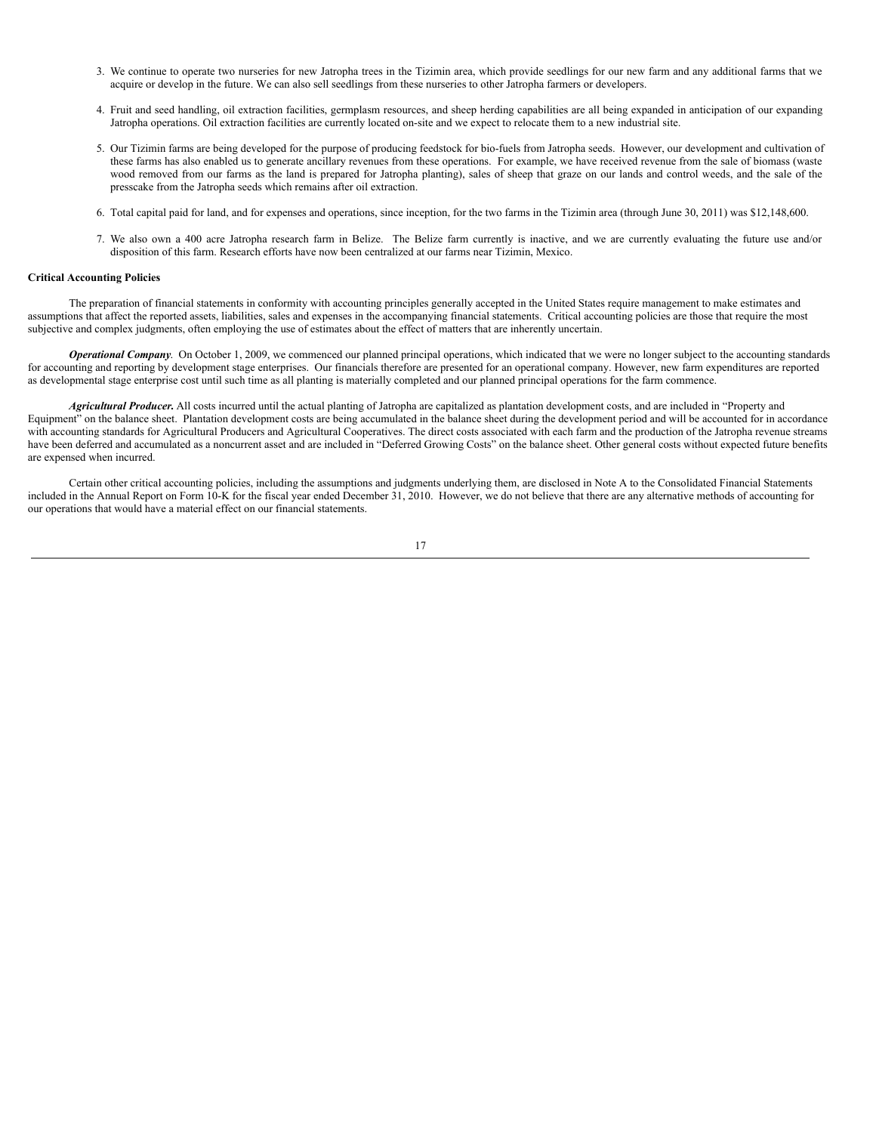- 3. We continue to operate two nurseries for new Jatropha trees in the Tizimin area, which provide seedlings for our new farm and any additional farms that we acquire or develop in the future. We can also sell seedlings from these nurseries to other Jatropha farmers or developers.
- 4. Fruit and seed handling, oil extraction facilities, germplasm resources, and sheep herding capabilities are all being expanded in anticipation of our expanding Jatropha operations. Oil extraction facilities are currently located on-site and we expect to relocate them to a new industrial site.
- 5. Our Tizimin farms are being developed for the purpose of producing feedstock for bio-fuels from Jatropha seeds. However, our development and cultivation of these farms has also enabled us to generate ancillary revenues from these operations. For example, we have received revenue from the sale of biomass (waste wood removed from our farms as the land is prepared for Jatropha planting), sales of sheep that graze on our lands and control weeds, and the sale of the presscake from the Jatropha seeds which remains after oil extraction.
- 6. Total capital paid for land, and for expenses and operations, since inception, for the two farms in the Tizimin area (through June 30, 2011) was \$12,148,600.
- 7. We also own a 400 acre Jatropha research farm in Belize. The Belize farm currently is inactive, and we are currently evaluating the future use and/or disposition of this farm. Research efforts have now been centralized at our farms near Tizimin, Mexico.

## **Critical Accounting Policies**

The preparation of financial statements in conformity with accounting principles generally accepted in the United States require management to make estimates and assumptions that affect the reported assets, liabilities, sales and expenses in the accompanying financial statements. Critical accounting policies are those that require the most subjective and complex judgments, often employing the use of estimates about the effect of matters that are inherently uncertain.

*Operational Company*. On October 1, 2009, we commenced our planned principal operations, which indicated that we were no longer subject to the accounting standards for accounting and reporting by development stage enterprises. Our financials therefore are presented for an operational company. However, new farm expenditures are reported as developmental stage enterprise cost until such time as all planting is materially completed and our planned principal operations for the farm commence.

*Agricultural Producer.* All costs incurred until the actual planting of Jatropha are capitalized as plantation development costs, and are included in "Property and Equipment" on the balance sheet. Plantation development costs are being accumulated in the balance sheet during the development period and will be accounted for in accordance with accounting standards for Agricultural Producers and Agricultural Cooperatives. The direct costs associated with each farm and the production of the Jatropha revenue streams have been deferred and accumulated as a noncurrent asset and are included in "Deferred Growing Costs" on the balance sheet. Other general costs without expected future benefits are expensed when incurred.

Certain other critical accounting policies, including the assumptions and judgments underlying them, are disclosed in Note A to the Consolidated Financial Statements included in the Annual Report on Form 10-K for the fiscal year ended December 31, 2010. However, we do not believe that there are any alternative methods of accounting for our operations that would have a material effect on our financial statements.

$$
17\,
$$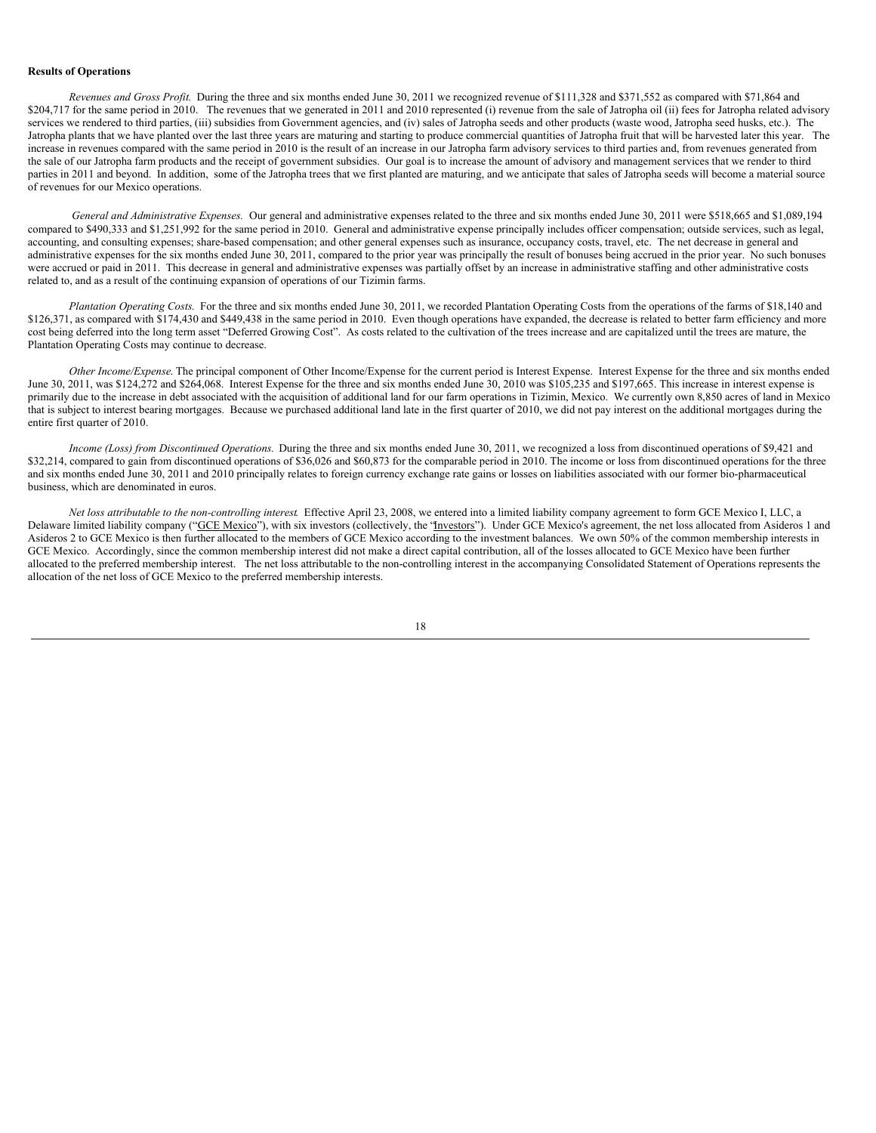#### **Results of Operations**

*Revenues and Gross Profit*. During the three and six months ended June 30, 2011 we recognized revenue of \$111,328 and \$371,552 as compared with \$71,864 and \$204,717 for the same period in 2010. The revenues that we generated in 2011 and 2010 represented (i) revenue from the sale of Jatropha oil (ii) fees for Jatropha related advisory services we rendered to third parties, (iii) subsidies from Government agencies, and (iv) sales of Jatropha seeds and other products (waste wood, Jatropha seed husks, etc.). The Jatropha plants that we have planted over the last three years are maturing and starting to produce commercial quantities of Jatropha fruit that will be harvested later this year. The increase in revenues compared with the same period in 2010 is the result of an increase in our Jatropha farm advisory services to third parties and, from revenues generated from the sale of our Jatropha farm products and the receipt of government subsidies. Our goal is to increase the amount of advisory and management services that we render to third parties in 2011 and beyond. In addition, some of the Jatropha trees that we first planted are maturing, and we anticipate that sales of Jatropha seeds will become a material source of revenues for our Mexico operations.

*General and Administrative Expenses.* Our general and administrative expenses related to the three and six months ended June 30, 2011 were \$518,665 and \$1,089,194 compared to \$490,333 and \$1,251,992 for the same period in 2010. General and administrative expense principally includes officer compensation; outside services, such as legal, accounting, and consulting expenses; share-based compensation; and other general expenses such as insurance, occupancy costs, travel, etc. The net decrease in general and administrative expenses for the six months ended June 30, 2011, compared to the prior year was principally the result of bonuses being accrued in the prior year. No such bonuses were accrued or paid in 2011. This decrease in general and administrative expenses was partially offset by an increase in administrative staffing and other administrative costs related to, and as a result of the continuing expansion of operations of our Tizimin farms.

*Plantation Operating Costs*. For the three and six months ended June 30, 2011, we recorded Plantation Operating Costs from the operations of the farms of \$18,140 and \$126,371, as compared with \$174,430 and \$449,438 in the same period in 2010. Even though operations have expanded, the decrease is related to better farm efficiency and more cost being deferred into the long term asset "Deferred Growing Cost". As costs related to the cultivation of the trees increase and are capitalized until the trees are mature, the Plantation Operating Costs may continue to decrease.

*Other Income/Expense*. The principal component of Other Income/Expense for the current period is Interest Expense. Interest Expense for the three and six months ended June 30, 2011, was \$124,272 and \$264,068. Interest Expense for the three and six months ended June 30, 2010 was \$105,235 and \$197,665. This increase in interest expense is primarily due to the increase in debt associated with the acquisition of additional land for our farm operations in Tizimin, Mexico. We currently own 8,850 acres of land in Mexico that is subject to interest bearing mortgages. Because we purchased additional land late in the first quarter of 2010, we did not pay interest on the additional mortgages during the entire first quarter of 2010.

*Income (Loss) from Discontinued Operations.* During the three and six months ended June 30, 2011, we recognized a loss from discontinued operations of \$9,421 and \$32,214, compared to gain from discontinued operations of \$36,026 and \$60,873 for the comparable period in 2010. The income or loss from discontinued operations for the three and six months ended June 30, 2011 and 2010 principally relates to foreign currency exchange rate gains or losses on liabilities associated with our former bio-pharmaceutical business, which are denominated in euros.

*Net loss attributable to the non-controlling interest*. Effective April 23, 2008, we entered into a limited liability company agreement to form GCE Mexico I, LLC, a Delaware limited liability company ("GCE Mexico"), with six investors (collectively, the "Investors"). Under GCE Mexico's agreement, the net loss allocated from Asideros 1 and Asideros 2 to GCE Mexico is then further allocated to the members of GCE Mexico according to the investment balances. We own 50% of the common membership interests in GCE Mexico. Accordingly, since the common membership interest did not make a direct capital contribution, all of the losses allocated to GCE Mexico have been further allocated to the preferred membership interest. The net loss attributable to the non-controlling interest in the accompanying Consolidated Statement of Operations represents the allocation of the net loss of GCE Mexico to the preferred membership interests.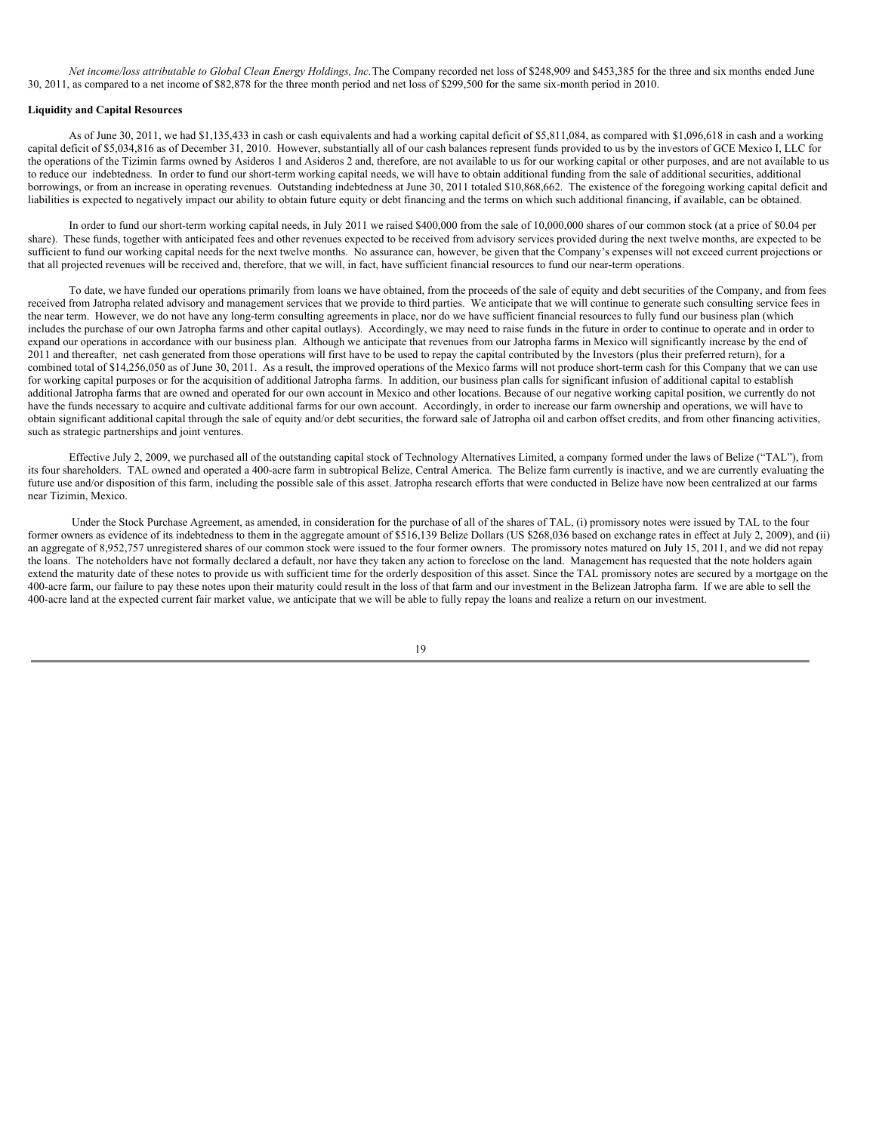*Net income/loss attributable to Global Clean Energy Holdings, Inc.*The Company recorded net loss of \$248,909 and \$453,385 for the three and six months ended June 30, 2011, as compared to a net income of \$82,878 for the three month period and net loss of \$299,500 for the same six-month period in 2010.

### **Liquidity and Capital Resources**

As of June 30, 2011, we had \$1,135,433 in cash or cash equivalents and had a working capital deficit of \$5,811,084, as compared with \$1,096,618 in cash and a working capital deficit of \$5,034,816 as of December 31, 2010. However, substantially all of our cash balances represent funds provided to us by the investors of GCE Mexico I, LLC for the operations of the Tizimin farms owned by Asideros 1 and Asideros 2 and, therefore, are not available to us for our working capital or other purposes, and are not available to us to reduce our indebtedness. In order to fund our short-term working capital needs, we will have to obtain additional funding from the sale of additional securities, additional borrowings, or from an increase in operating revenues. Outstanding indebtedness at June 30, 2011 totaled \$10,868,662. The existence of the foregoing working capital deficit and liabilities is expected to negatively impact our ability to obtain future equity or debt financing and the terms on which such additional financing, if available, can be obtained.

In order to fund our short-term working capital needs, in July 2011 we raised \$400,000 from the sale of 10,000,000 shares of our common stock (at a price of \$0.04 per share). These funds, together with anticipated fees and other revenues expected to be received from advisory services provided during the next twelve months, are expected to be sufficient to fund our working capital needs for the next twelve months. No assurance can, however, be given that the Company's expenses will not exceed current projections or that all projected revenues will be received and, therefore, that we will, in fact, have sufficient financial resources to fund our near-term operations.

To date, we have funded our operations primarily from loans we have obtained, from the proceeds of the sale of equity and debt securities of the Company, and from fees received from Jatropha related advisory and management services that we provide to third parties. We anticipate that we will continue to generate such consulting service fees in the near term. However, we do not have any long-term consulting agreements in place, nor do we have sufficient financial resources to fully fund our business plan (which includes the purchase of our own Jatropha farms and other capital outlays). Accordingly, we may need to raise funds in the future in order to continue to operate and in order to expand our operations in accordance with our business plan. Although we anticipate that revenues from our Jatropha farms in Mexico will significantly increase by the end of 2011 and thereafter, net cash generated from those operations will first have to be used to repay the capital contributed by the Investors (plus their preferred return), for a combined total of \$14,256,050 as of June 30, 2011. As a result, the improved operations of the Mexico farms will not produce short-term cash for this Company that we can use for working capital purposes or for the acquisition of additional Jatropha farms. In addition, our business plan calls for significant infusion of additional capital to establish additional Jatropha farms that are owned and operated for our own account in Mexico and other locations. Because of our negative working capital position, we currently do not have the funds necessary to acquire and cultivate additional farms for our own account. Accordingly, in order to increase our farm ownership and operations, we will have to obtain significant additional capital through the sale of equity and/or debt securities, the forward sale of Jatropha oil and carbon offset credits, and from other financing activities, such as strategic partnerships and joint ventures.

Effective July 2, 2009, we purchased all of the outstanding capital stock of Technology Alternatives Limited, a company formed under the laws of Belize ("TAL"), from its four shareholders. TAL owned and operated a 400-acre farm in subtropical Belize, Central America. The Belize farm currently is inactive, and we are currently evaluating the future use and/or disposition of this farm, including the possible sale of this asset. Jatropha research efforts that were conducted in Belize have now been centralized at our farms near Tizimin, Mexico.

Under the Stock Purchase Agreement, as amended, in consideration for the purchase of all of the shares of TAL, (i) promissory notes were issued by TAL to the four former owners as evidence of its indebtedness to them in the aggregate amount of \$516,139 Belize Dollars (US \$268,036 based on exchange rates in effect at July 2, 2009), and (ii) an aggregate of 8,952,757 unregistered shares of our common stock were issued to the four former owners. The promissory notes matured on July 15, 2011, and we did not repay the loans. The noteholders have not formally declared a default, nor have they taken any action to foreclose on the land. Management has requested that the note holders again extend the maturity date of these notes to provide us with sufficient time for the orderly desposition of this asset. Since the TAL promissory notes are secured by a mortgage on the 400-acre farm, our failure to pay these notes upon their maturity could result in the loss of that farm and our investment in the Belizean Jatropha farm. If we are able to sell the 400-acre land at the expected current fair market value, we anticipate that we will be able to fully repay the loans and realize a return on our investment.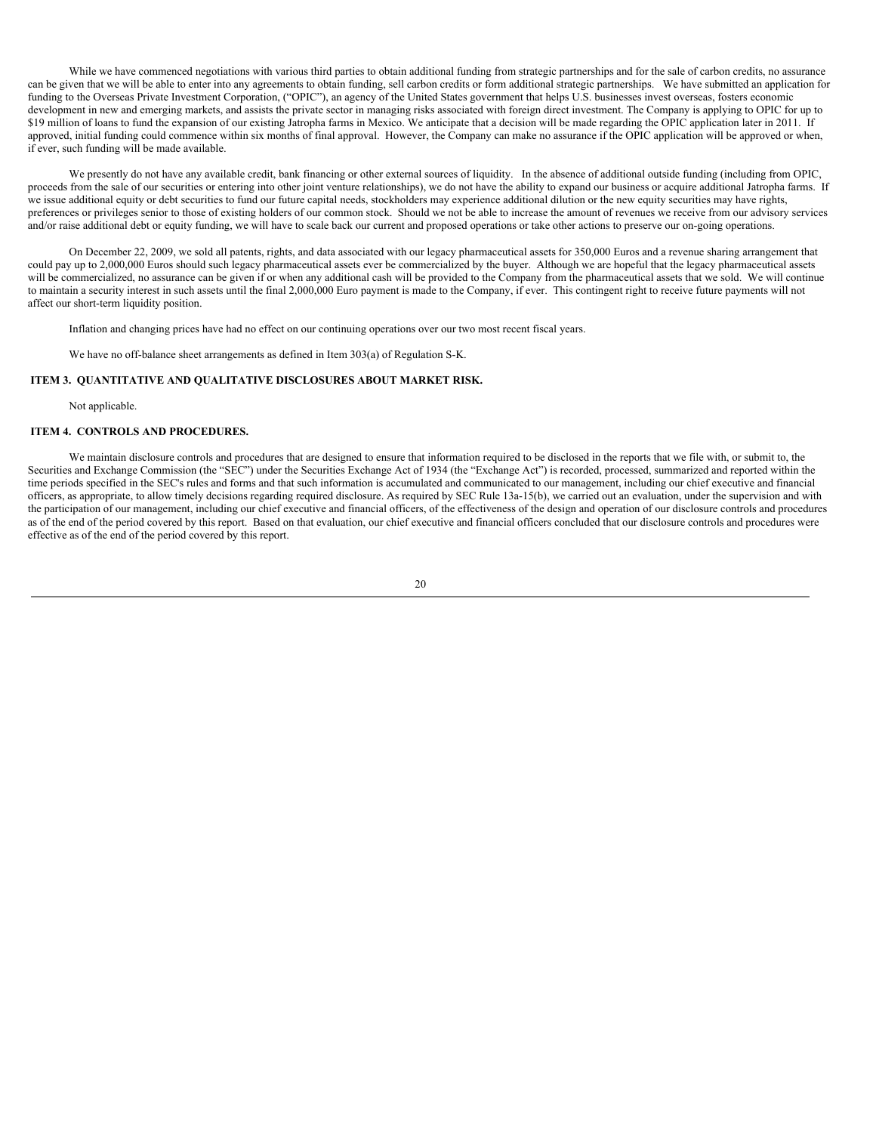While we have commenced negotiations with various third parties to obtain additional funding from strategic partnerships and for the sale of carbon credits, no assurance can be given that we will be able to enter into any agreements to obtain funding, sell carbon credits or form additional strategic partnerships. We have submitted an application for funding to the Overseas Private Investment Corporation, ("OPIC"), an agency of the United States government that helps U.S. businesses invest overseas, fosters economic development in new and emerging markets, and assists the private sector in managing risks associated with foreign direct investment. The Company is applying to OPIC for up to \$19 million of loans to fund the expansion of our existing Jatropha farms in Mexico. We anticipate that a decision will be made regarding the OPIC application later in 2011. If approved, initial funding could commence within six months of final approval. However, the Company can make no assurance if the OPIC application will be approved or when, if ever, such funding will be made available.

We presently do not have any available credit, bank financing or other external sources of liquidity. In the absence of additional outside funding (including from OPIC, proceeds from the sale of our securities or entering into other joint venture relationships), we do not have the ability to expand our business or acquire additional Jatropha farms. If we issue additional equity or debt securities to fund our future capital needs, stockholders may experience additional dilution or the new equity securities may have rights, preferences or privileges senior to those of existing holders of our common stock. Should we not be able to increase the amount of revenues we receive from our advisory services and/or raise additional debt or equity funding, we will have to scale back our current and proposed operations or take other actions to preserve our on-going operations.

On December 22, 2009, we sold all patents, rights, and data associated with our legacy pharmaceutical assets for 350,000 Euros and a revenue sharing arrangement that could pay up to 2,000,000 Euros should such legacy pharmaceutical assets ever be commercialized by the buyer. Although we are hopeful that the legacy pharmaceutical assets will be commercialized, no assurance can be given if or when any additional cash will be provided to the Company from the pharmaceutical assets that we sold. We will continue to maintain a security interest in such assets until the final 2,000,000 Euro payment is made to the Company, if ever. This contingent right to receive future payments will not affect our short-term liquidity position.

Inflation and changing prices have had no effect on our continuing operations over our two most recent fiscal years.

We have no off-balance sheet arrangements as defined in Item 303(a) of Regulation S-K.

#### **ITEM 3. QUANTITATIVE AND QUALITATIVE DISCLOSURES ABOUT MARKET RISK.**

Not applicable.

## **ITEM 4. CONTROLS AND PROCEDURES.**

We maintain disclosure controls and procedures that are designed to ensure that information required to be disclosed in the reports that we file with, or submit to, the Securities and Exchange Commission (the "SEC") under the Securities Exchange Act of 1934 (the "Exchange Act") is recorded, processed, summarized and reported within the time periods specified in the SEC's rules and forms and that such information is accumulated and communicated to our management, including our chief executive and financial officers, as appropriate, to allow timely decisions regarding required disclosure. As required by SEC Rule 13a-15(b), we carried out an evaluation, under the supervision and with the participation of our management, including our chief executive and financial officers, of the effectiveness of the design and operation of our disclosure controls and procedures as of the end of the period covered by this report. Based on that evaluation, our chief executive and financial officers concluded that our disclosure controls and procedures were effective as of the end of the period covered by this report.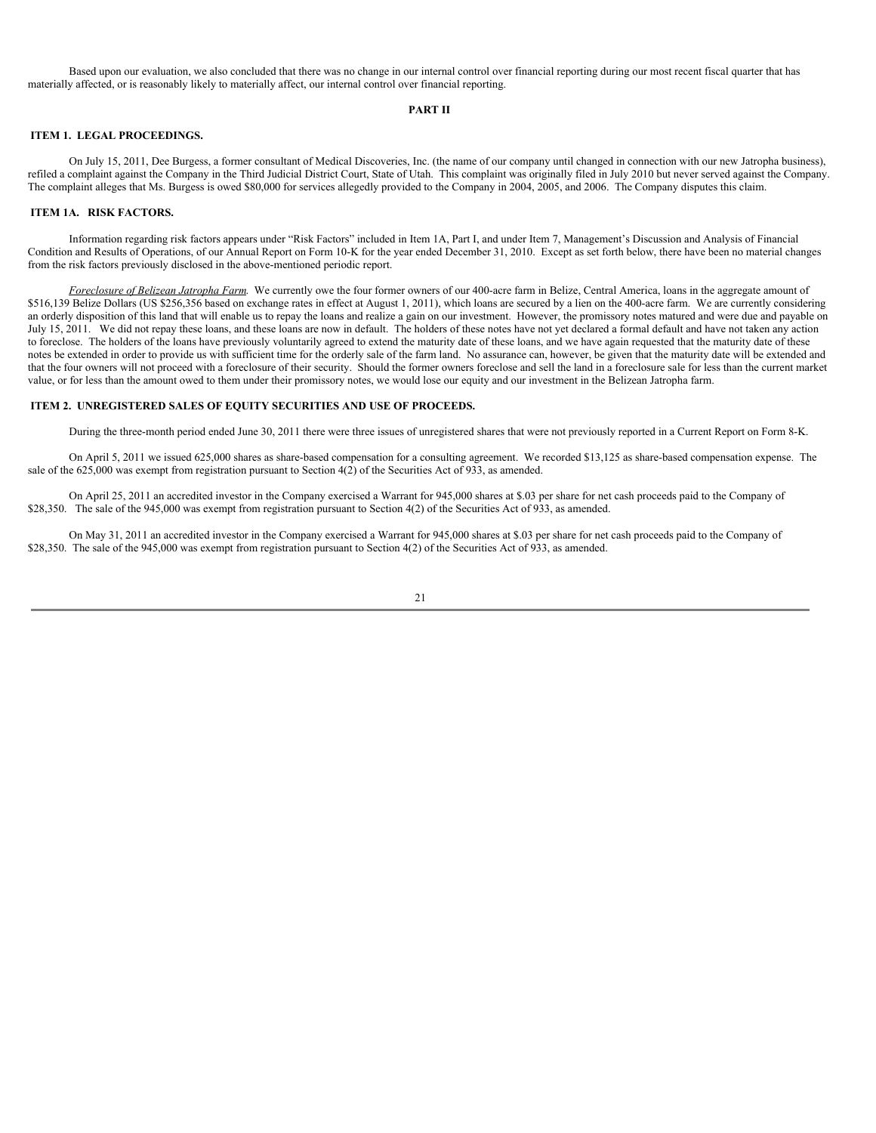Based upon our evaluation, we also concluded that there was no change in our internal control over financial reporting during our most recent fiscal quarter that has materially affected, or is reasonably likely to materially affect, our internal control over financial reporting.

#### **PART II**

### **ITEM 1. LEGAL PROCEEDINGS.**

On July 15, 2011, Dee Burgess, a former consultant of Medical Discoveries, Inc. (the name of our company until changed in connection with our new Jatropha business), refiled a complaint against the Company in the Third Judicial District Court, State of Utah. This complaint was originally filed in July 2010 but never served against the Company. The complaint alleges that Ms. Burgess is owed \$80,000 for services allegedly provided to the Company in 2004, 2005, and 2006. The Company disputes this claim.

## **ITEM 1A. RISK FACTORS.**

Information regarding risk factors appears under "Risk Factors" included in Item 1A, Part I, and under Item 7, Management's Discussion and Analysis of Financial Condition and Results of Operations, of our Annual Report on Form 10-K for the year ended December 31, 2010. Except as set forth below, there have been no material changes from the risk factors previously disclosed in the above-mentioned periodic report.

*Foreclosure of Belizean Jatropha Farm*. We currently owe the four former owners of our 400-acre farm in Belize, Central America, loans in the aggregate amount of \$516,139 Belize Dollars (US \$256,356 based on exchange rates in effect at August 1, 2011), which loans are secured by a lien on the 400-acre farm. We are currently considering an orderly disposition of this land that will enable us to repay the loans and realize a gain on our investment. However, the promissory notes matured and were due and payable on July 15, 2011. We did not repay these loans, and these loans are now in default. The holders of these notes have not yet declared a formal default and have not taken any action to foreclose. The holders of the loans have previously voluntarily agreed to extend the maturity date of these loans, and we have again requested that the maturity date of these notes be extended in order to provide us with sufficient time for the orderly sale of the farm land. No assurance can, however, be given that the maturity date will be extended and that the four owners will not proceed with a foreclosure of their security. Should the former owners foreclose and sell the land in a foreclosure sale for less than the current market value, or for less than the amount owed to them under their promissory notes, we would lose our equity and our investment in the Belizean Jatropha farm.

#### **ITEM 2. UNREGISTERED SALES OF EQUITY SECURITIES AND USE OF PROCEEDS.**

During the three-month period ended June 30, 2011 there were three issues of unregistered shares that were not previously reported in a Current Report on Form 8-K.

On April 5, 2011 we issued 625,000 shares as share-based compensation for a consulting agreement. We recorded \$13,125 as share-based compensation expense. The sale of the 625,000 was exempt from registration pursuant to Section 4(2) of the Securities Act of 933, as amended.

On April 25, 2011 an accredited investor in the Company exercised a Warrant for 945,000 shares at \$.03 per share for net cash proceeds paid to the Company of \$28,350. The sale of the 945,000 was exempt from registration pursuant to Section 4(2) of the Securities Act of 933, as amended.

On May 31, 2011 an accredited investor in the Company exercised a Warrant for 945,000 shares at \$.03 per share for net cash proceeds paid to the Company of \$28,350. The sale of the 945,000 was exempt from registration pursuant to Section 4(2) of the Securities Act of 933, as amended.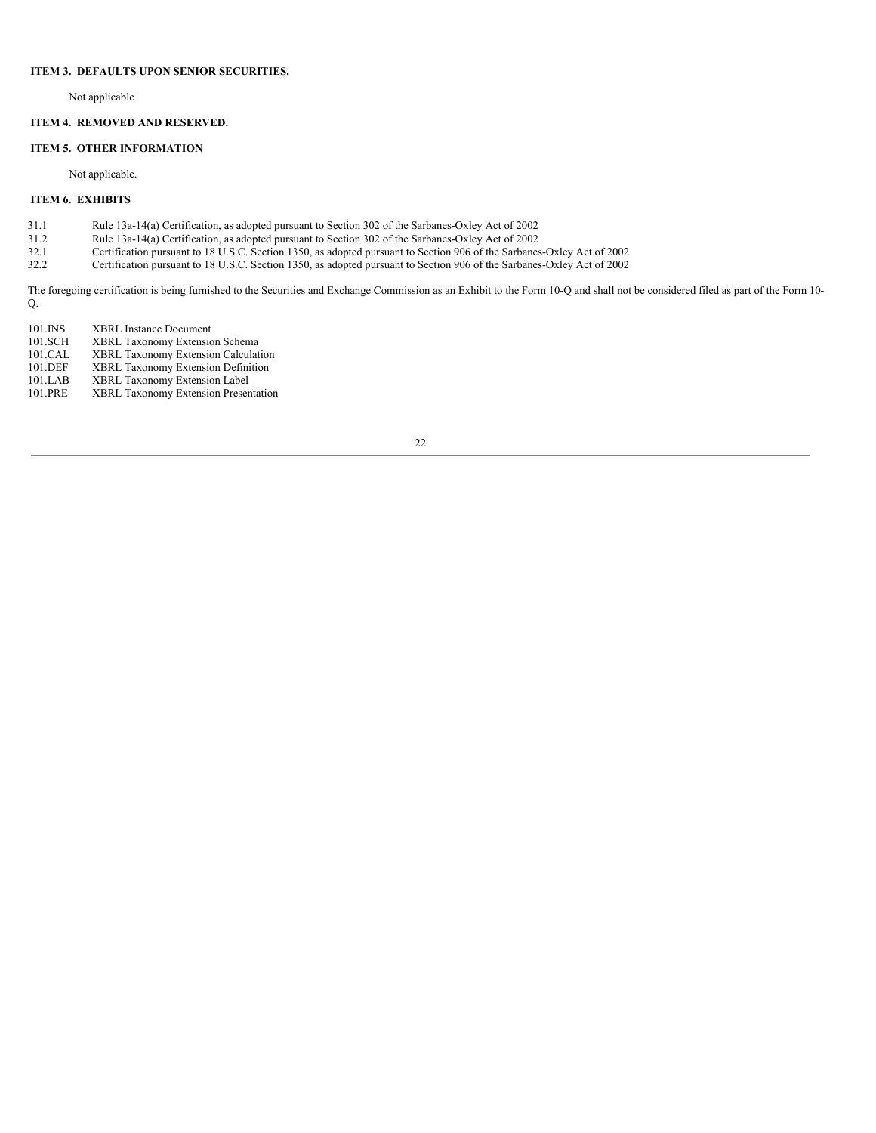## **ITEM 3. DEFAULTS UPON SENIOR SECURITIES.**

Not applicable

## **ITEM 4. REMOVED AND RESERVED.**

## **ITEM 5. OTHER INFORMATION**

Not applicable.

## **ITEM 6. EXHIBITS**

- 31.1 Rule 13a-14(a) Certification, as adopted pursuant to Section 302 of the Sarbanes-Oxley Act of 2002
- 31.2 Rule 13a-14(a) Certification, as adopted pursuant to Section 302 of the Sarbanes-Oxley Act of 2002
- 32.1 Certification pursuant to 18 U.S.C. Section 1350, as adopted pursuant to Section 906 of the Sarbanes-Oxley Act of 2002<br>32.2 Certification pursuant to 18 U.S.C. Section 1350, as adopted pursuant to Section 906 of the S
- 32.2 Certification pursuant to 18 U.S.C. Section 1350, as adopted pursuant to Section 906 of the Sarbanes-Oxley Act of 2002

The foregoing certification is being furnished to the Securities and Exchange Commission as an Exhibit to the Form 10-Q and shall not be considered filed as part of the Form 10-Q.

- 101. INS XBRL Instance Document<br>101. SCH XBRL Taxonomy Extension
- 101.SCH XBRL Taxonomy Extension Schema<br>101.CAL XBRL Taxonomy Extension Calculat
- 101.CAL XBRL Taxonomy Extension Calculation<br>101.DEF XBRL Taxonomy Extension Definition
- 101.DEF XBRL Taxonomy Extension Definition<br>101.LAB XBRL Taxonomy Extension Label
- 101.LAB XBRL Taxonomy Extension Label<br>101.PRE XBRL Taxonomy Extension Preser XBRL Taxonomy Extension Presentation
- 

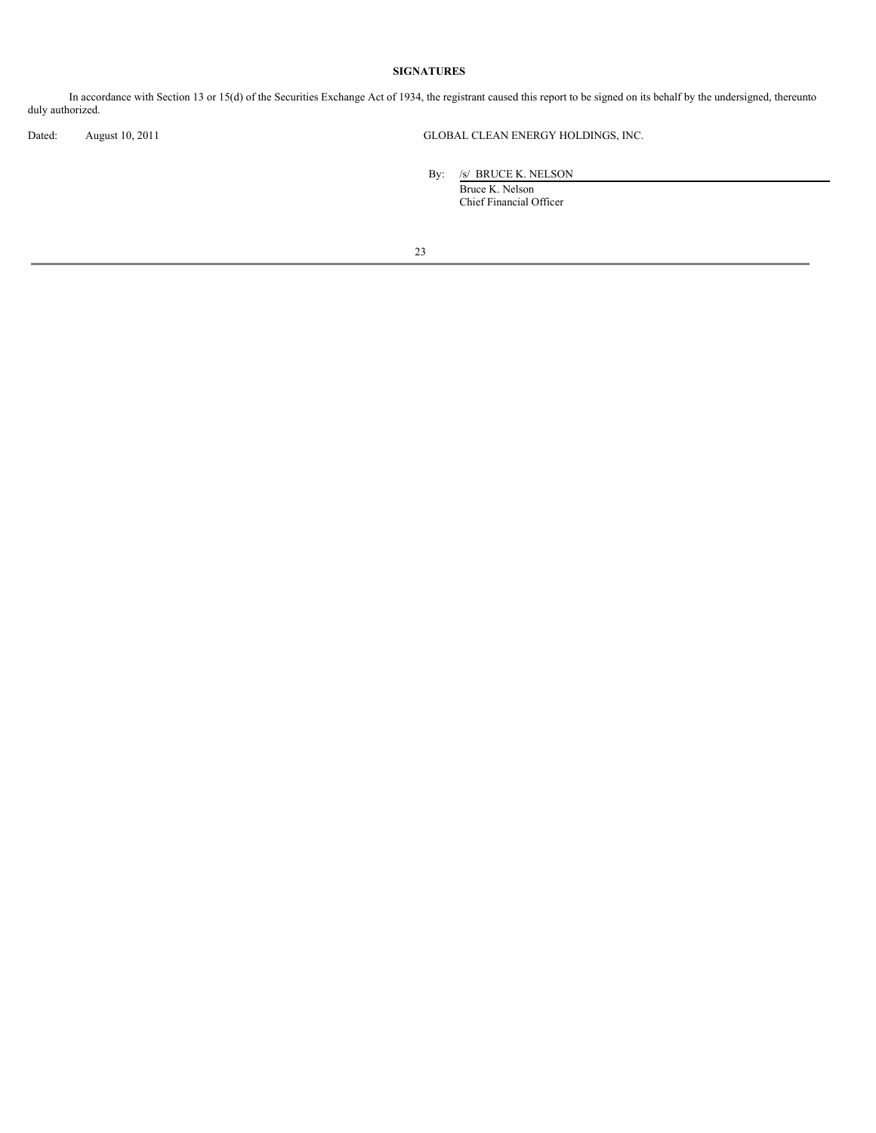# **SIGNATURES**

In accordance with Section 13 or 15(d) of the Securities Exchange Act of 1934, the registrant caused this report to be signed on its behalf by the undersigned, thereunto duly authorized.

Dated: August 10, 2011 GLOBAL CLEAN ENERGY HOLDINGS, INC.

By: /s/ BRUCE K. NELSON

Bruce K. Nelson Chief Financial Officer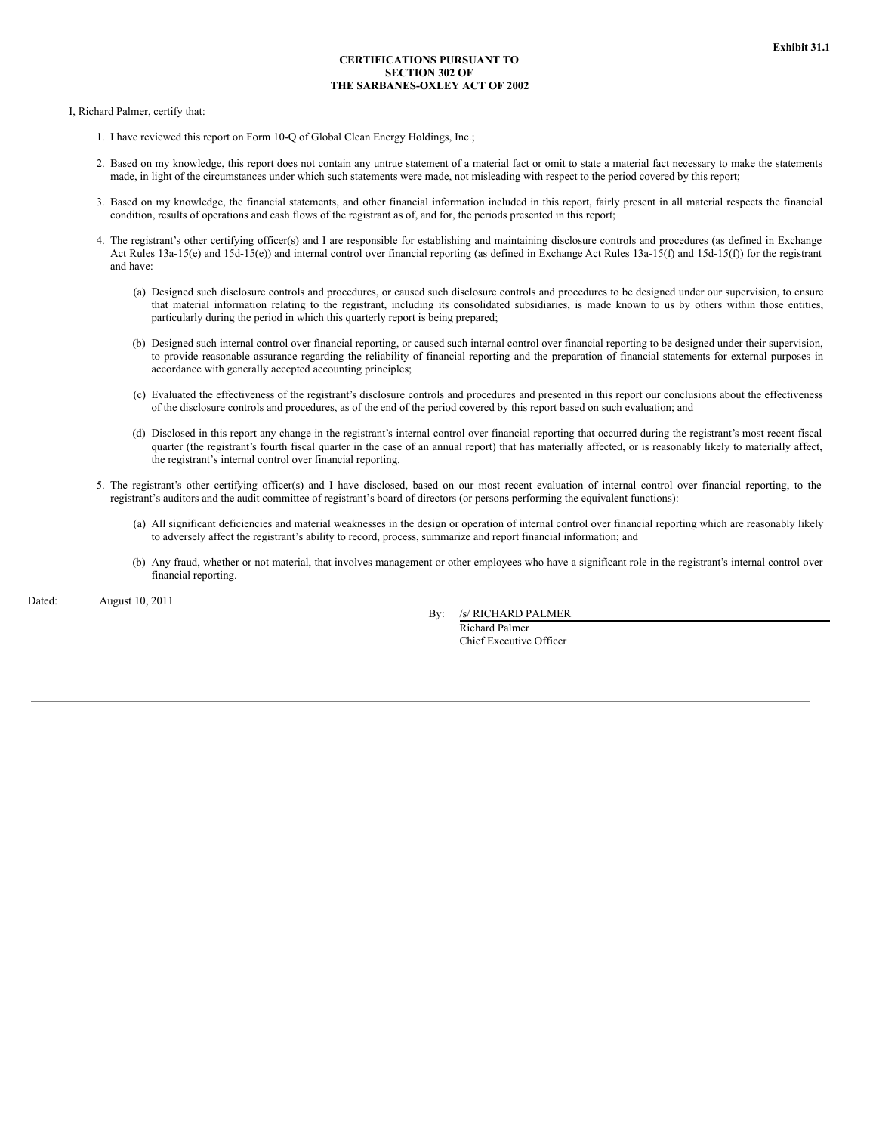## **CERTIFICATIONS PURSUANT TO SECTION 302 OF THE SARBANES-OXLEY ACT OF 2002**

I, Richard Palmer, certify that:

- 1. I have reviewed this report on Form 10-Q of Global Clean Energy Holdings, Inc.;
- 2. Based on my knowledge, this report does not contain any untrue statement of a material fact or omit to state a material fact necessary to make the statements made, in light of the circumstances under which such statements were made, not misleading with respect to the period covered by this report;
- 3. Based on my knowledge, the financial statements, and other financial information included in this report, fairly present in all material respects the financial condition, results of operations and cash flows of the registrant as of, and for, the periods presented in this report;
- 4. The registrant's other certifying officer(s) and I are responsible for establishing and maintaining disclosure controls and procedures (as defined in Exchange Act Rules 13a-15(e) and 15d-15(e)) and internal control over financial reporting (as defined in Exchange Act Rules 13a-15(f) and 15d-15(f)) for the registrant and have:
	- (a) Designed such disclosure controls and procedures, or caused such disclosure controls and procedures to be designed under our supervision, to ensure that material information relating to the registrant, including its consolidated subsidiaries, is made known to us by others within those entities, particularly during the period in which this quarterly report is being prepared;
	- (b) Designed such internal control over financial reporting, or caused such internal control over financial reporting to be designed under their supervision, to provide reasonable assurance regarding the reliability of financial reporting and the preparation of financial statements for external purposes in accordance with generally accepted accounting principles;
	- (c) Evaluated the effectiveness of the registrant's disclosure controls and procedures and presented in this report our conclusions about the effectiveness of the disclosure controls and procedures, as of the end of the period covered by this report based on such evaluation; and
	- (d) Disclosed in this report any change in the registrant's internal control over financial reporting that occurred during the registrant's most recent fiscal quarter (the registrant's fourth fiscal quarter in the case of an annual report) that has materially affected, or is reasonably likely to materially affect, the registrant's internal control over financial reporting.
- 5. The registrant's other certifying officer(s) and I have disclosed, based on our most recent evaluation of internal control over financial reporting, to the registrant's auditors and the audit committee of registrant's board of directors (or persons performing the equivalent functions):
	- (a) All significant deficiencies and material weaknesses in the design or operation of internal control over financial reporting which are reasonably likely to adversely affect the registrant's ability to record, process, summarize and report financial information; and
	- (b) Any fraud, whether or not material, that involves management or other employees who have a significant role in the registrant's internal control over financial reporting.

Dated: August 10, 2011

By: /s/ RICHARD PALMER Richard Palmer

Chief Executive Officer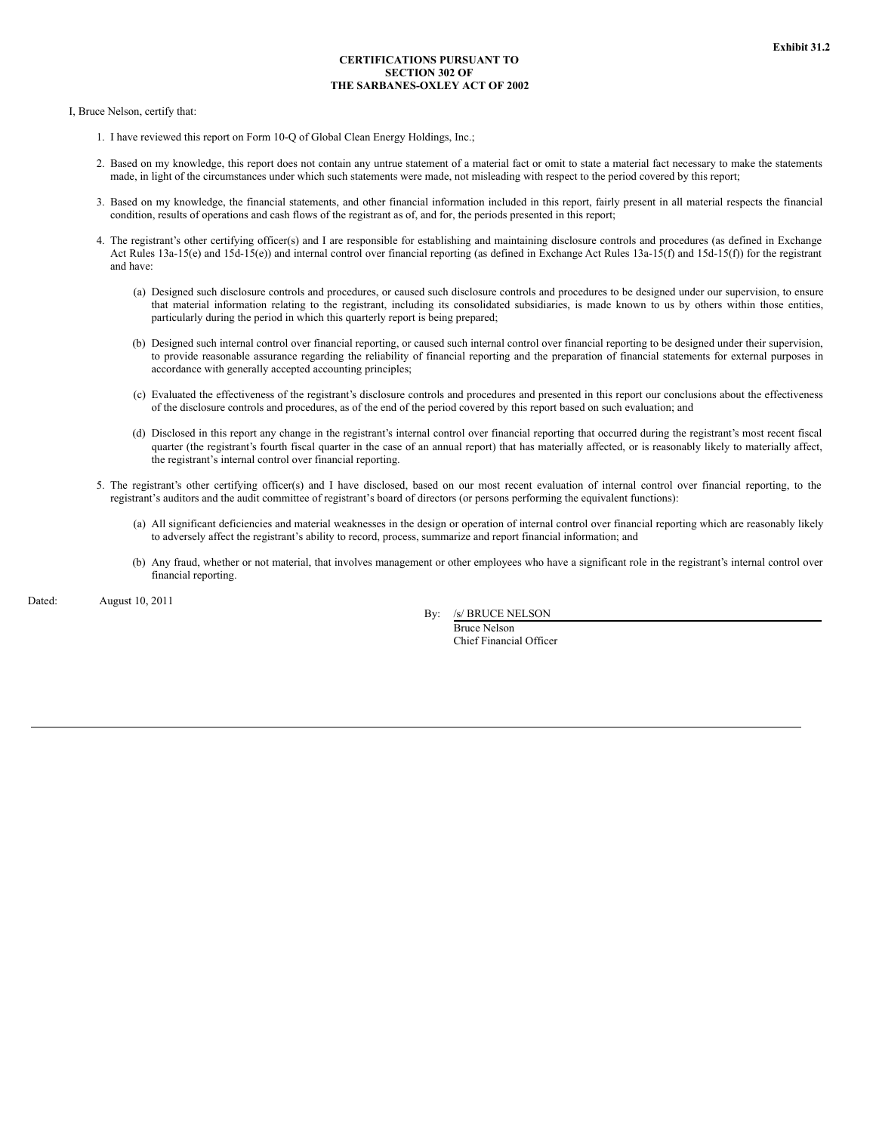## **CERTIFICATIONS PURSUANT TO SECTION 302 OF THE SARBANES-OXLEY ACT OF 2002**

I, Bruce Nelson, certify that:

- 1. I have reviewed this report on Form 10-Q of Global Clean Energy Holdings, Inc.;
- 2. Based on my knowledge, this report does not contain any untrue statement of a material fact or omit to state a material fact necessary to make the statements made, in light of the circumstances under which such statements were made, not misleading with respect to the period covered by this report;
- 3. Based on my knowledge, the financial statements, and other financial information included in this report, fairly present in all material respects the financial condition, results of operations and cash flows of the registrant as of, and for, the periods presented in this report;
- 4. The registrant's other certifying officer(s) and I are responsible for establishing and maintaining disclosure controls and procedures (as defined in Exchange Act Rules 13a-15(e) and 15d-15(e)) and internal control over financial reporting (as defined in Exchange Act Rules 13a-15(f) and 15d-15(f)) for the registrant and have:
	- (a) Designed such disclosure controls and procedures, or caused such disclosure controls and procedures to be designed under our supervision, to ensure that material information relating to the registrant, including its consolidated subsidiaries, is made known to us by others within those entities, particularly during the period in which this quarterly report is being prepared;
	- (b) Designed such internal control over financial reporting, or caused such internal control over financial reporting to be designed under their supervision, to provide reasonable assurance regarding the reliability of financial reporting and the preparation of financial statements for external purposes in accordance with generally accepted accounting principles;
	- (c) Evaluated the effectiveness of the registrant's disclosure controls and procedures and presented in this report our conclusions about the effectiveness of the disclosure controls and procedures, as of the end of the period covered by this report based on such evaluation; and
	- (d) Disclosed in this report any change in the registrant's internal control over financial reporting that occurred during the registrant's most recent fiscal quarter (the registrant's fourth fiscal quarter in the case of an annual report) that has materially affected, or is reasonably likely to materially affect, the registrant's internal control over financial reporting.
- 5. The registrant's other certifying officer(s) and I have disclosed, based on our most recent evaluation of internal control over financial reporting, to the registrant's auditors and the audit committee of registrant's board of directors (or persons performing the equivalent functions):
	- (a) All significant deficiencies and material weaknesses in the design or operation of internal control over financial reporting which are reasonably likely to adversely affect the registrant's ability to record, process, summarize and report financial information; and
	- (b) Any fraud, whether or not material, that involves management or other employees who have a significant role in the registrant's internal control over financial reporting.

Dated: August 10, 2011

By: /s/ BRUCE NELSON Bruce Nelson

Chief Financial Officer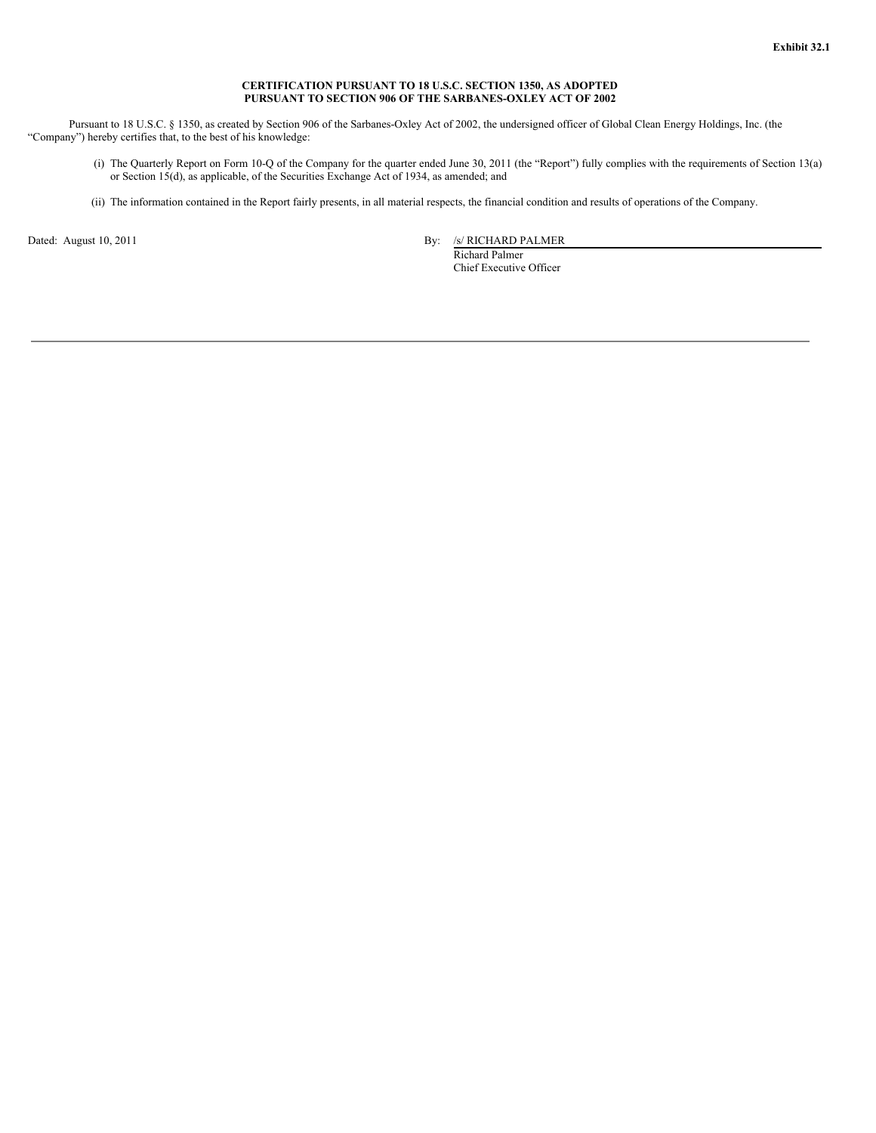## **CERTIFICATION PURSUANT TO 18 U.S.C. SECTION 1350, AS ADOPTED PURSUANT TO SECTION 906 OF THE SARBANES-OXLEY ACT OF 2002**

Pursuant to 18 U.S.C. § 1350, as created by Section 906 of the Sarbanes-Oxley Act of 2002, the undersigned officer of Global Clean Energy Holdings, Inc. (the "Company") hereby certifies that, to the best of his knowledge:

- (i) The Quarterly Report on Form 10-Q of the Company for the quarter ended June 30, 2011 (the "Report") fully complies with the requirements of Section 13(a) or Section 15(d), as applicable, of the Securities Exchange Act of 1934, as amended; and
- (ii) The information contained in the Report fairly presents, in all material respects, the financial condition and results of operations of the Company.

Dated: August 10, 2011 By: /s/ RICHARD PALMER

Richard Palmer Chief Executive Officer